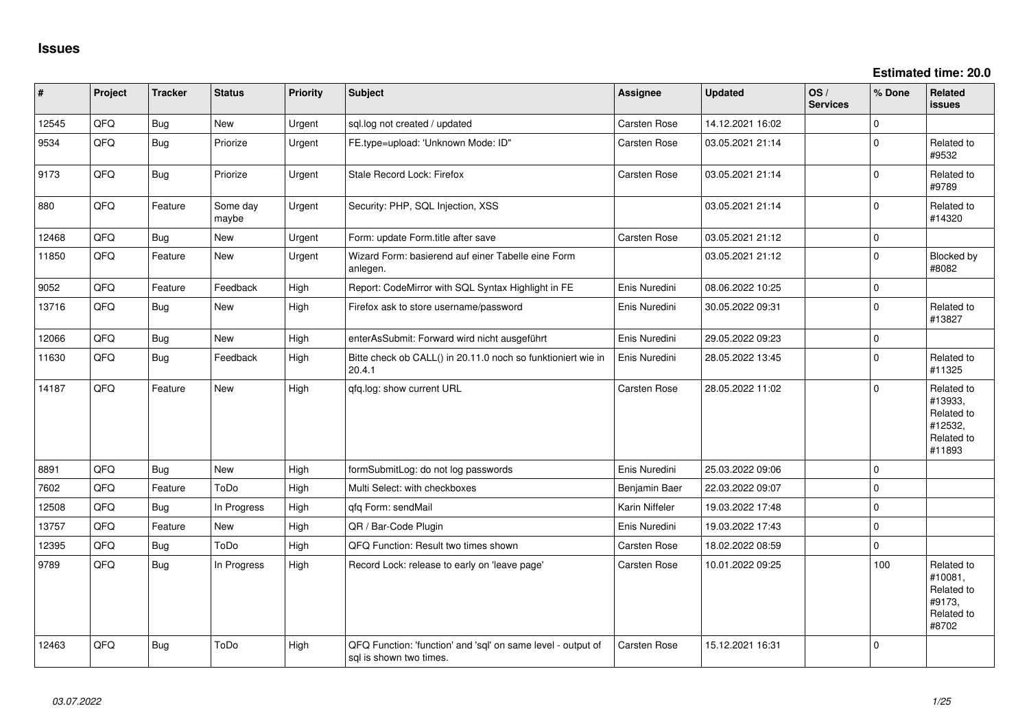**Estimated time: 20.0**

| $\vert$ # | Project | <b>Tracker</b> | <b>Status</b>     | <b>Priority</b> | <b>Subject</b>                                                                          | Assignee            | <b>Updated</b>   | OS/<br><b>Services</b> | % Done      | <b>Related</b><br>issues                                               |
|-----------|---------|----------------|-------------------|-----------------|-----------------------------------------------------------------------------------------|---------------------|------------------|------------------------|-------------|------------------------------------------------------------------------|
| 12545     | QFQ     | Bug            | New               | Urgent          | sql.log not created / updated                                                           | Carsten Rose        | 14.12.2021 16:02 |                        | $\mathbf 0$ |                                                                        |
| 9534      | QFQ     | <b>Bug</b>     | Priorize          | Urgent          | FE.type=upload: 'Unknown Mode: ID"                                                      | Carsten Rose        | 03.05.2021 21:14 |                        | $\Omega$    | Related to<br>#9532                                                    |
| 9173      | QFQ     | <b>Bug</b>     | Priorize          | Urgent          | Stale Record Lock: Firefox                                                              | Carsten Rose        | 03.05.2021 21:14 |                        | $\Omega$    | Related to<br>#9789                                                    |
| 880       | QFQ     | Feature        | Some day<br>maybe | Urgent          | Security: PHP, SQL Injection, XSS                                                       |                     | 03.05.2021 21:14 |                        | $\Omega$    | Related to<br>#14320                                                   |
| 12468     | QFQ     | Bug            | <b>New</b>        | Urgent          | Form: update Form.title after save                                                      | <b>Carsten Rose</b> | 03.05.2021 21:12 |                        | $\mathbf 0$ |                                                                        |
| 11850     | QFQ     | Feature        | New               | Urgent          | Wizard Form: basierend auf einer Tabelle eine Form<br>anlegen.                          |                     | 03.05.2021 21:12 |                        | $\mathbf 0$ | Blocked by<br>#8082                                                    |
| 9052      | QFQ     | Feature        | Feedback          | High            | Report: CodeMirror with SQL Syntax Highlight in FE                                      | Enis Nuredini       | 08.06.2022 10:25 |                        | $\mathbf 0$ |                                                                        |
| 13716     | QFQ     | <b>Bug</b>     | New               | High            | Firefox ask to store username/password                                                  | Enis Nuredini       | 30.05.2022 09:31 |                        | $\Omega$    | Related to<br>#13827                                                   |
| 12066     | QFQ     | <b>Bug</b>     | New               | High            | enterAsSubmit: Forward wird nicht ausgeführt                                            | Enis Nuredini       | 29.05.2022 09:23 |                        | $\mathbf 0$ |                                                                        |
| 11630     | QFQ     | <b>Bug</b>     | Feedback          | High            | Bitte check ob CALL() in 20.11.0 noch so funktioniert wie in<br>20.4.1                  | Enis Nuredini       | 28.05.2022 13:45 |                        | $\mathbf 0$ | Related to<br>#11325                                                   |
| 14187     | QFQ     | Feature        | New               | High            | qfq.log: show current URL                                                               | Carsten Rose        | 28.05.2022 11:02 |                        | $\Omega$    | Related to<br>#13933,<br>Related to<br>#12532,<br>Related to<br>#11893 |
| 8891      | QFQ     | Bug            | New               | High            | formSubmitLog: do not log passwords                                                     | Enis Nuredini       | 25.03.2022 09:06 |                        | $\mathbf 0$ |                                                                        |
| 7602      | QFQ     | Feature        | ToDo              | High            | Multi Select: with checkboxes                                                           | Benjamin Baer       | 22.03.2022 09:07 |                        | $\Omega$    |                                                                        |
| 12508     | QFQ     | Bug            | In Progress       | High            | qfq Form: sendMail                                                                      | Karin Niffeler      | 19.03.2022 17:48 |                        | $\mathbf 0$ |                                                                        |
| 13757     | QFQ     | Feature        | <b>New</b>        | High            | QR / Bar-Code Plugin                                                                    | Enis Nuredini       | 19.03.2022 17:43 |                        | $\Omega$    |                                                                        |
| 12395     | QFQ     | Bug            | ToDo              | High            | QFQ Function: Result two times shown                                                    | <b>Carsten Rose</b> | 18.02.2022 08:59 |                        | $\mathbf 0$ |                                                                        |
| 9789      | QFQ     | Bug            | In Progress       | High            | Record Lock: release to early on 'leave page'                                           | Carsten Rose        | 10.01.2022 09:25 |                        | 100         | Related to<br>#10081,<br>Related to<br>#9173,<br>Related to<br>#8702   |
| 12463     | QFQ     | <b>Bug</b>     | ToDo              | High            | QFQ Function: 'function' and 'sql' on same level - output of<br>sal is shown two times. | Carsten Rose        | 15.12.2021 16:31 |                        | $\mathbf 0$ |                                                                        |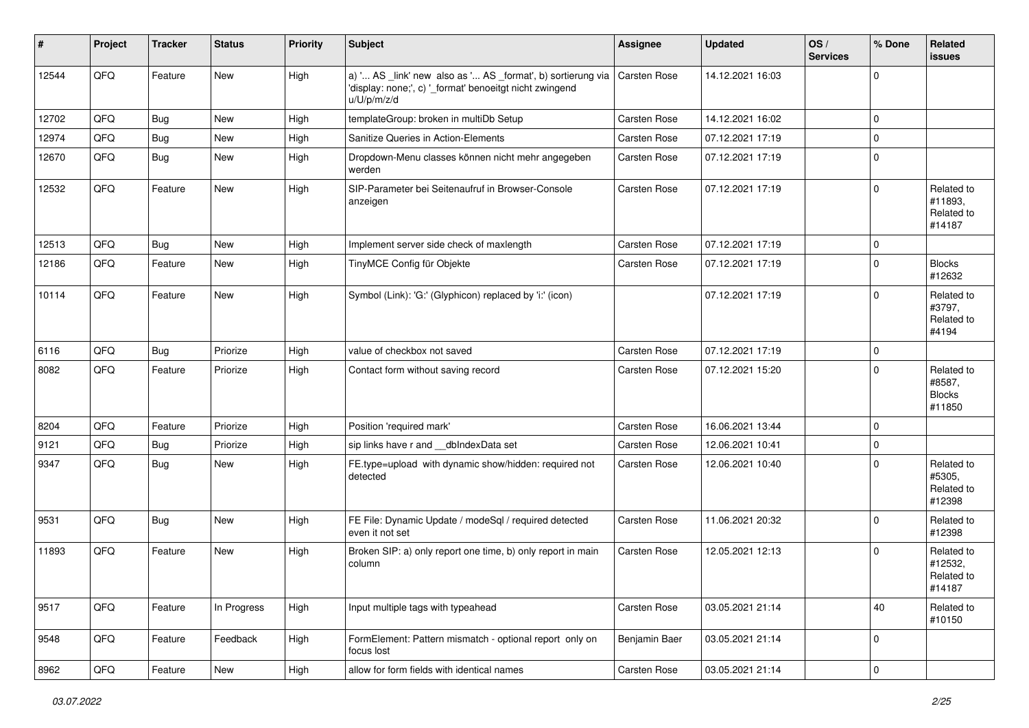| #     | Project | <b>Tracker</b> | <b>Status</b> | <b>Priority</b> | <b>Subject</b>                                                                                                                        | Assignee            | <b>Updated</b>   | OS/<br><b>Services</b> | % Done         | Related<br>issues                               |
|-------|---------|----------------|---------------|-----------------|---------------------------------------------------------------------------------------------------------------------------------------|---------------------|------------------|------------------------|----------------|-------------------------------------------------|
| 12544 | QFQ     | Feature        | New           | High            | a) ' AS _link' new also as ' AS _format', b) sortierung via<br>'display: none;', c) '_format' benoeitgt nicht zwingend<br>u/U/p/m/z/d | Carsten Rose        | 14.12.2021 16:03 |                        | $\mathbf{0}$   |                                                 |
| 12702 | QFQ     | Bug            | <b>New</b>    | High            | templateGroup: broken in multiDb Setup                                                                                                | <b>Carsten Rose</b> | 14.12.2021 16:02 |                        | $\mathbf 0$    |                                                 |
| 12974 | QFQ     | Bug            | New           | High            | Sanitize Queries in Action-Elements                                                                                                   | Carsten Rose        | 07.12.2021 17:19 |                        | $\mathbf 0$    |                                                 |
| 12670 | QFQ     | Bug            | New           | High            | Dropdown-Menu classes können nicht mehr angegeben<br>werden                                                                           | <b>Carsten Rose</b> | 07.12.2021 17:19 |                        | $\mathbf 0$    |                                                 |
| 12532 | QFQ     | Feature        | New           | High            | SIP-Parameter bei Seitenaufruf in Browser-Console<br>anzeigen                                                                         | <b>Carsten Rose</b> | 07.12.2021 17:19 |                        | $\Omega$       | Related to<br>#11893,<br>Related to<br>#14187   |
| 12513 | QFQ     | Bug            | New           | High            | Implement server side check of maxlength                                                                                              | <b>Carsten Rose</b> | 07.12.2021 17:19 |                        | $\mathbf 0$    |                                                 |
| 12186 | QFQ     | Feature        | <b>New</b>    | High            | TinyMCE Config für Objekte                                                                                                            | <b>Carsten Rose</b> | 07.12.2021 17:19 |                        | $\mathbf 0$    | <b>Blocks</b><br>#12632                         |
| 10114 | QFQ     | Feature        | New           | High            | Symbol (Link): 'G:' (Glyphicon) replaced by 'i:' (icon)                                                                               |                     | 07.12.2021 17:19 |                        | $\Omega$       | Related to<br>#3797,<br>Related to<br>#4194     |
| 6116  | QFQ     | Bug            | Priorize      | High            | value of checkbox not saved                                                                                                           | <b>Carsten Rose</b> | 07.12.2021 17:19 |                        | $\mathbf 0$    |                                                 |
| 8082  | QFQ     | Feature        | Priorize      | High            | Contact form without saving record                                                                                                    | <b>Carsten Rose</b> | 07.12.2021 15:20 |                        | $\Omega$       | Related to<br>#8587,<br><b>Blocks</b><br>#11850 |
| 8204  | QFQ     | Feature        | Priorize      | High            | Position 'required mark'                                                                                                              | <b>Carsten Rose</b> | 16.06.2021 13:44 |                        | $\mathbf 0$    |                                                 |
| 9121  | QFQ     | Bug            | Priorize      | High            | sip links have r and __dbIndexData set                                                                                                | <b>Carsten Rose</b> | 12.06.2021 10:41 |                        | $\mathbf 0$    |                                                 |
| 9347  | QFQ     | Bug            | New           | High            | FE.type=upload with dynamic show/hidden: required not<br>detected                                                                     | <b>Carsten Rose</b> | 12.06.2021 10:40 |                        | $\mathbf{0}$   | Related to<br>#5305,<br>Related to<br>#12398    |
| 9531  | QFQ     | Bug            | New           | High            | FE File: Dynamic Update / modeSgl / required detected<br>even it not set                                                              | <b>Carsten Rose</b> | 11.06.2021 20:32 |                        | $\Omega$       | Related to<br>#12398                            |
| 11893 | QFQ     | Feature        | New           | High            | Broken SIP: a) only report one time, b) only report in main<br>column                                                                 | <b>Carsten Rose</b> | 12.05.2021 12:13 |                        | $\mathbf{0}$   | Related to<br>#12532,<br>Related to<br>#14187   |
| 9517  | QFQ     | Feature        | In Progress   | High            | Input multiple tags with typeahead                                                                                                    | Carsten Rose        | 03.05.2021 21:14 |                        | 40             | Related to<br>#10150                            |
| 9548  | QFQ     | Feature        | Feedback      | High            | FormElement: Pattern mismatch - optional report only on<br>focus lost                                                                 | Benjamin Baer       | 03.05.2021 21:14 |                        | $\mathbf 0$    |                                                 |
| 8962  | QFQ     | Feature        | New           | High            | allow for form fields with identical names                                                                                            | Carsten Rose        | 03.05.2021 21:14 |                        | $\overline{0}$ |                                                 |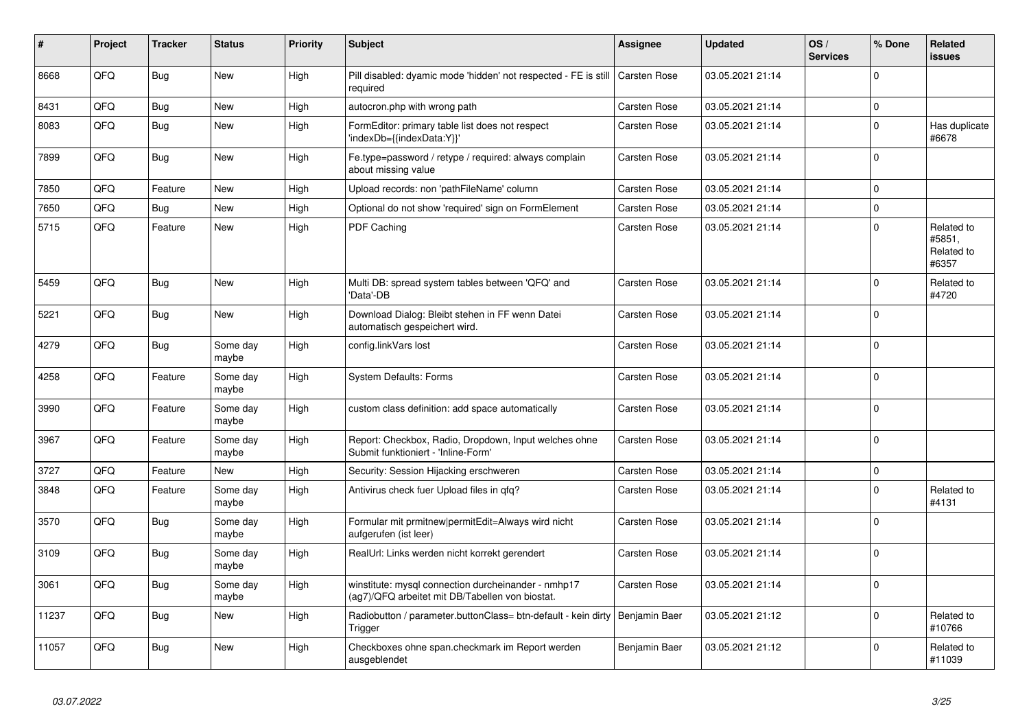| #     | Project | <b>Tracker</b> | <b>Status</b>     | <b>Priority</b> | <b>Subject</b>                                                                                         | <b>Assignee</b>     | <b>Updated</b>   | OS/<br><b>Services</b> | % Done         | <b>Related</b><br>issues                    |
|-------|---------|----------------|-------------------|-----------------|--------------------------------------------------------------------------------------------------------|---------------------|------------------|------------------------|----------------|---------------------------------------------|
| 8668  | QFQ     | Bug            | <b>New</b>        | High            | Pill disabled: dyamic mode 'hidden' not respected - FE is still<br>required                            | Carsten Rose        | 03.05.2021 21:14 |                        | $\Omega$       |                                             |
| 8431  | QFQ     | Bug            | <b>New</b>        | High            | autocron.php with wrong path                                                                           | <b>Carsten Rose</b> | 03.05.2021 21:14 |                        | $\mathbf 0$    |                                             |
| 8083  | QFQ     | Bug            | <b>New</b>        | High            | FormEditor: primary table list does not respect<br>'indexDb={{indexData:Y}}'                           | <b>Carsten Rose</b> | 03.05.2021 21:14 |                        | $\mathbf 0$    | Has duplicate<br>#6678                      |
| 7899  | QFQ     | Bug            | New               | High            | Fe.type=password / retype / required: always complain<br>about missing value                           | Carsten Rose        | 03.05.2021 21:14 |                        | $\mathbf 0$    |                                             |
| 7850  | QFQ     | Feature        | <b>New</b>        | High            | Upload records: non 'pathFileName' column                                                              | <b>Carsten Rose</b> | 03.05.2021 21:14 |                        | $\mathbf 0$    |                                             |
| 7650  | QFQ     | Bug            | <b>New</b>        | High            | Optional do not show 'required' sign on FormElement                                                    | <b>Carsten Rose</b> | 03.05.2021 21:14 |                        | $\pmb{0}$      |                                             |
| 5715  | QFQ     | Feature        | <b>New</b>        | High            | <b>PDF Caching</b>                                                                                     | <b>Carsten Rose</b> | 03.05.2021 21:14 |                        | $\overline{0}$ | Related to<br>#5851,<br>Related to<br>#6357 |
| 5459  | QFQ     | Bug            | <b>New</b>        | High            | Multi DB: spread system tables between 'QFQ' and<br>'Data'-DB                                          | <b>Carsten Rose</b> | 03.05.2021 21:14 |                        | $\mathbf 0$    | Related to<br>#4720                         |
| 5221  | QFQ     | Bug            | <b>New</b>        | High            | Download Dialog: Bleibt stehen in FF wenn Datei<br>automatisch gespeichert wird.                       | <b>Carsten Rose</b> | 03.05.2021 21:14 |                        | $\Omega$       |                                             |
| 4279  | QFQ     | <b>Bug</b>     | Some day<br>maybe | High            | config.linkVars lost                                                                                   | Carsten Rose        | 03.05.2021 21:14 |                        | $\Omega$       |                                             |
| 4258  | QFQ     | Feature        | Some day<br>maybe | High            | System Defaults: Forms                                                                                 | Carsten Rose        | 03.05.2021 21:14 |                        | 0              |                                             |
| 3990  | QFQ     | Feature        | Some day<br>maybe | High            | custom class definition: add space automatically                                                       | <b>Carsten Rose</b> | 03.05.2021 21:14 |                        | $\Omega$       |                                             |
| 3967  | QFQ     | Feature        | Some day<br>maybe | High            | Report: Checkbox, Radio, Dropdown, Input welches ohne<br>Submit funktioniert - 'Inline-Form'           | <b>Carsten Rose</b> | 03.05.2021 21:14 |                        | $\Omega$       |                                             |
| 3727  | QFQ     | Feature        | <b>New</b>        | High            | Security: Session Hijacking erschweren                                                                 | Carsten Rose        | 03.05.2021 21:14 |                        | 0              |                                             |
| 3848  | QFQ     | Feature        | Some day<br>maybe | High            | Antivirus check fuer Upload files in qfq?                                                              | Carsten Rose        | 03.05.2021 21:14 |                        | $\overline{0}$ | Related to<br>#4131                         |
| 3570  | QFQ     | Bug            | Some day<br>maybe | High            | Formular mit prmitnew permitEdit=Always wird nicht<br>aufgerufen (ist leer)                            | Carsten Rose        | 03.05.2021 21:14 |                        | $\Omega$       |                                             |
| 3109  | QFQ     | Bug            | Some day<br>maybe | High            | RealUrl: Links werden nicht korrekt gerendert                                                          | <b>Carsten Rose</b> | 03.05.2021 21:14 |                        | $\Omega$       |                                             |
| 3061  | QFQ     | <b>Bug</b>     | Some day<br>maybe | High            | winstitute: mysql connection durcheinander - nmhp17<br>(ag7)/QFQ arbeitet mit DB/Tabellen von biostat. | <b>Carsten Rose</b> | 03.05.2021 21:14 |                        | $\Omega$       |                                             |
| 11237 | QFQ     | Bug            | <b>New</b>        | High            | Radiobutton / parameter.buttonClass= btn-default - kein dirty<br>Trigger                               | Benjamin Baer       | 03.05.2021 21:12 |                        | $\mathbf 0$    | Related to<br>#10766                        |
| 11057 | QFQ     | Bug            | <b>New</b>        | High            | Checkboxes ohne span.checkmark im Report werden<br>ausgeblendet                                        | Benjamin Baer       | 03.05.2021 21:12 |                        | $\Omega$       | Related to<br>#11039                        |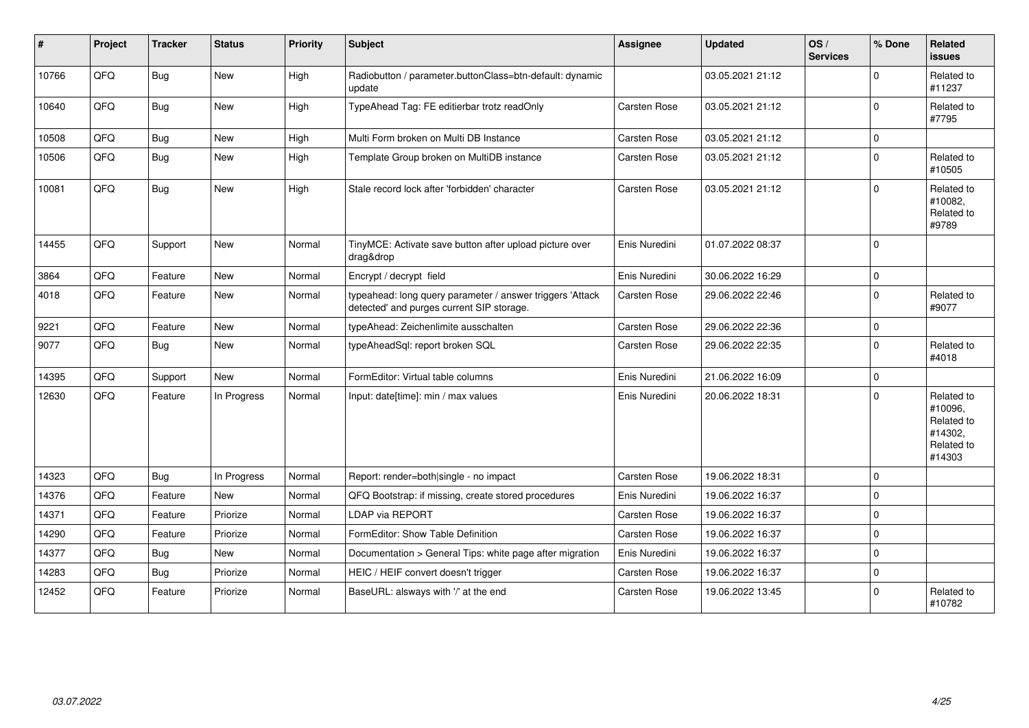| #     | Project | <b>Tracker</b> | <b>Status</b> | Priority | <b>Subject</b>                                                                                         | Assignee            | <b>Updated</b>   | OS/<br><b>Services</b> | % Done       | Related<br><b>issues</b>                                               |
|-------|---------|----------------|---------------|----------|--------------------------------------------------------------------------------------------------------|---------------------|------------------|------------------------|--------------|------------------------------------------------------------------------|
| 10766 | QFQ     | <b>Bug</b>     | <b>New</b>    | High     | Radiobutton / parameter.buttonClass=btn-default: dynamic<br>update                                     |                     | 03.05.2021 21:12 |                        | $\Omega$     | Related to<br>#11237                                                   |
| 10640 | QFQ     | Bug            | New           | High     | TypeAhead Tag: FE editierbar trotz readOnly                                                            | <b>Carsten Rose</b> | 03.05.2021 21:12 |                        | $\Omega$     | Related to<br>#7795                                                    |
| 10508 | QFQ     | Bug            | New           | High     | Multi Form broken on Multi DB Instance                                                                 | <b>Carsten Rose</b> | 03.05.2021 21:12 |                        | $\mathbf 0$  |                                                                        |
| 10506 | QFQ     | Bug            | New           | High     | Template Group broken on MultiDB instance                                                              | <b>Carsten Rose</b> | 03.05.2021 21:12 |                        | $\Omega$     | Related to<br>#10505                                                   |
| 10081 | QFQ     | Bug            | <b>New</b>    | High     | Stale record lock after 'forbidden' character                                                          | <b>Carsten Rose</b> | 03.05.2021 21:12 |                        | $\Omega$     | Related to<br>#10082.<br>Related to<br>#9789                           |
| 14455 | QFQ     | Support        | New           | Normal   | TinyMCE: Activate save button after upload picture over<br>drag&drop                                   | Enis Nuredini       | 01.07.2022 08:37 |                        | $\Omega$     |                                                                        |
| 3864  | QFQ     | Feature        | New           | Normal   | Encrypt / decrypt field                                                                                | Enis Nuredini       | 30.06.2022 16:29 |                        | 0            |                                                                        |
| 4018  | QFQ     | Feature        | <b>New</b>    | Normal   | typeahead: long query parameter / answer triggers 'Attack<br>detected' and purges current SIP storage. | <b>Carsten Rose</b> | 29.06.2022 22:46 |                        | $\Omega$     | Related to<br>#9077                                                    |
| 9221  | QFQ     | Feature        | <b>New</b>    | Normal   | typeAhead: Zeichenlimite ausschalten                                                                   | <b>Carsten Rose</b> | 29.06.2022 22:36 |                        | $\mathbf 0$  |                                                                        |
| 9077  | QFQ     | Bug            | <b>New</b>    | Normal   | typeAheadSql: report broken SQL                                                                        | <b>Carsten Rose</b> | 29.06.2022 22:35 |                        | $\Omega$     | Related to<br>#4018                                                    |
| 14395 | QFQ     | Support        | New           | Normal   | FormEditor: Virtual table columns                                                                      | Enis Nuredini       | 21.06.2022 16:09 |                        | $\mathbf{0}$ |                                                                        |
| 12630 | QFQ     | Feature        | In Progress   | Normal   | Input: date[time]: min / max values                                                                    | Enis Nuredini       | 20.06.2022 18:31 |                        | $\Omega$     | Related to<br>#10096,<br>Related to<br>#14302,<br>Related to<br>#14303 |
| 14323 | QFQ     | Bug            | In Progress   | Normal   | Report: render=both single - no impact                                                                 | Carsten Rose        | 19.06.2022 18:31 |                        | $\Omega$     |                                                                        |
| 14376 | QFQ     | Feature        | <b>New</b>    | Normal   | QFQ Bootstrap: if missing, create stored procedures                                                    | Enis Nuredini       | 19.06.2022 16:37 |                        | $\Omega$     |                                                                        |
| 14371 | QFQ     | Feature        | Priorize      | Normal   | LDAP via REPORT                                                                                        | <b>Carsten Rose</b> | 19.06.2022 16:37 |                        | $\mathbf 0$  |                                                                        |
| 14290 | QFQ     | Feature        | Priorize      | Normal   | FormEditor: Show Table Definition                                                                      | <b>Carsten Rose</b> | 19.06.2022 16:37 |                        | $\mathbf 0$  |                                                                        |
| 14377 | QFQ     | Bug            | <b>New</b>    | Normal   | Documentation > General Tips: white page after migration                                               | Enis Nuredini       | 19.06.2022 16:37 |                        | $\Omega$     |                                                                        |
| 14283 | QFQ     | Bug            | Priorize      | Normal   | HEIC / HEIF convert doesn't trigger                                                                    | <b>Carsten Rose</b> | 19.06.2022 16:37 |                        | $\mathbf 0$  |                                                                        |
| 12452 | QFQ     | Feature        | Priorize      | Normal   | BaseURL: alsways with '/' at the end                                                                   | <b>Carsten Rose</b> | 19.06.2022 13:45 |                        | $\Omega$     | Related to<br>#10782                                                   |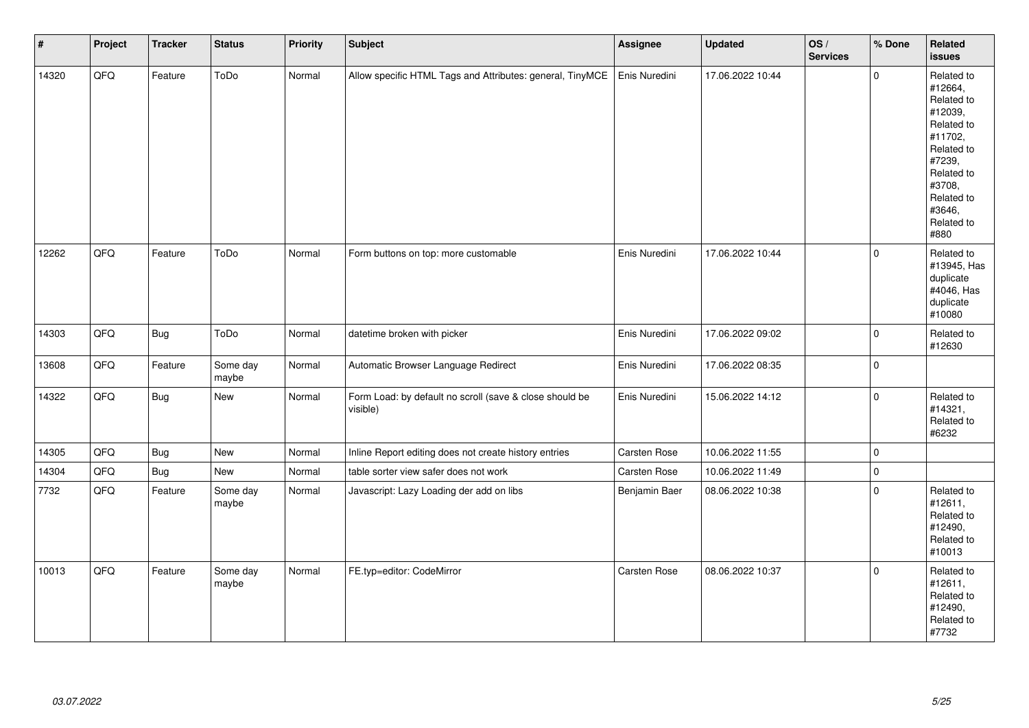| $\vert$ # | Project | <b>Tracker</b> | <b>Status</b>     | <b>Priority</b> | <b>Subject</b>                                                      | Assignee      | <b>Updated</b>   | os/<br><b>Services</b> | % Done         | Related<br><b>issues</b>                                                                                                                                              |
|-----------|---------|----------------|-------------------|-----------------|---------------------------------------------------------------------|---------------|------------------|------------------------|----------------|-----------------------------------------------------------------------------------------------------------------------------------------------------------------------|
| 14320     | QFQ     | Feature        | ToDo              | Normal          | Allow specific HTML Tags and Attributes: general, TinyMCE           | Enis Nuredini | 17.06.2022 10:44 |                        | $\Omega$       | Related to<br>#12664,<br>Related to<br>#12039,<br>Related to<br>#11702,<br>Related to<br>#7239,<br>Related to<br>#3708,<br>Related to<br>#3646,<br>Related to<br>#880 |
| 12262     | QFQ     | Feature        | ToDo              | Normal          | Form buttons on top: more customable                                | Enis Nuredini | 17.06.2022 10:44 |                        | $\Omega$       | Related to<br>#13945, Has<br>duplicate<br>#4046, Has<br>duplicate<br>#10080                                                                                           |
| 14303     | QFQ     | <b>Bug</b>     | ToDo              | Normal          | datetime broken with picker                                         | Enis Nuredini | 17.06.2022 09:02 |                        | $\mathbf 0$    | Related to<br>#12630                                                                                                                                                  |
| 13608     | QFQ     | Feature        | Some day<br>maybe | Normal          | Automatic Browser Language Redirect                                 | Enis Nuredini | 17.06.2022 08:35 |                        | $\mathbf 0$    |                                                                                                                                                                       |
| 14322     | QFQ     | <b>Bug</b>     | New               | Normal          | Form Load: by default no scroll (save & close should be<br>visible) | Enis Nuredini | 15.06.2022 14:12 |                        | $\mathbf 0$    | Related to<br>#14321,<br>Related to<br>#6232                                                                                                                          |
| 14305     | QFQ     | <b>Bug</b>     | New               | Normal          | Inline Report editing does not create history entries               | Carsten Rose  | 10.06.2022 11:55 |                        | $\mathbf 0$    |                                                                                                                                                                       |
| 14304     | QFQ     | <b>Bug</b>     | New               | Normal          | table sorter view safer does not work                               | Carsten Rose  | 10.06.2022 11:49 |                        | $\pmb{0}$      |                                                                                                                                                                       |
| 7732      | QFQ     | Feature        | Some day<br>maybe | Normal          | Javascript: Lazy Loading der add on libs                            | Benjamin Baer | 08.06.2022 10:38 |                        | $\overline{0}$ | Related to<br>#12611,<br>Related to<br>#12490,<br>Related to<br>#10013                                                                                                |
| 10013     | QFQ     | Feature        | Some day<br>maybe | Normal          | FE.typ=editor: CodeMirror                                           | Carsten Rose  | 08.06.2022 10:37 |                        | $\mathbf 0$    | Related to<br>#12611,<br>Related to<br>#12490,<br>Related to<br>#7732                                                                                                 |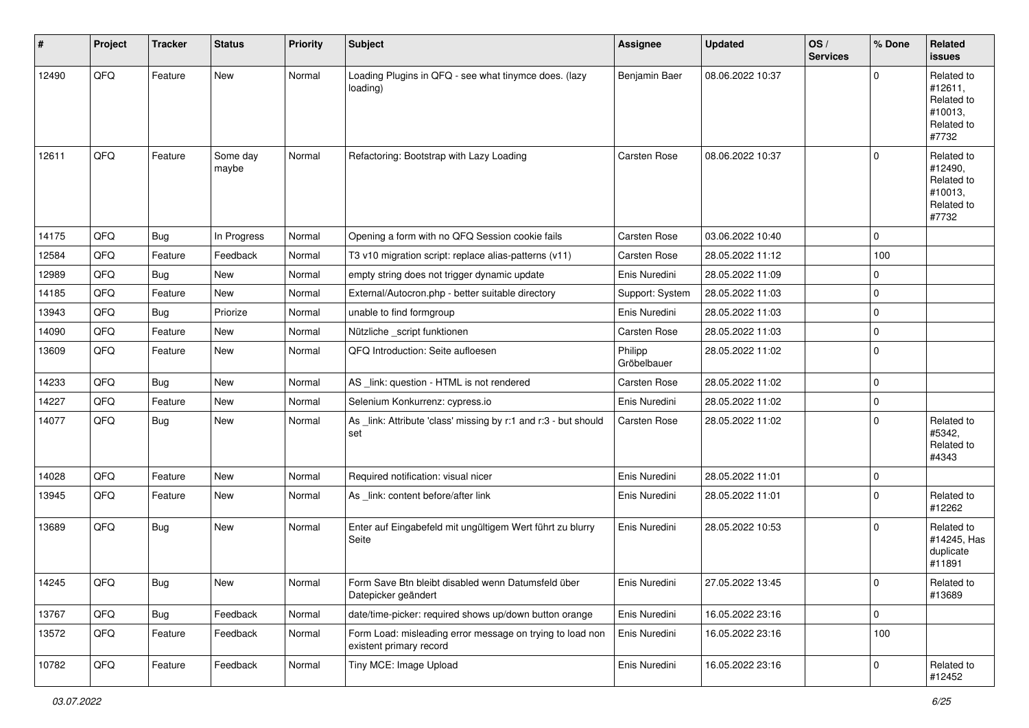| $\sharp$ | Project | <b>Tracker</b> | <b>Status</b>     | <b>Priority</b> | <b>Subject</b>                                                                       | <b>Assignee</b>        | <b>Updated</b>   | OS/<br><b>Services</b> | % Done      | Related<br><b>issues</b>                                              |
|----------|---------|----------------|-------------------|-----------------|--------------------------------------------------------------------------------------|------------------------|------------------|------------------------|-------------|-----------------------------------------------------------------------|
| 12490    | QFQ     | Feature        | <b>New</b>        | Normal          | Loading Plugins in QFQ - see what tinymce does. (lazy<br>loading)                    | Benjamin Baer          | 08.06.2022 10:37 |                        | 0           | Related to<br>#12611,<br>Related to<br>#10013,<br>Related to<br>#7732 |
| 12611    | QFQ     | Feature        | Some day<br>maybe | Normal          | Refactoring: Bootstrap with Lazy Loading                                             | <b>Carsten Rose</b>    | 08.06.2022 10:37 |                        | $\Omega$    | Related to<br>#12490,<br>Related to<br>#10013,<br>Related to<br>#7732 |
| 14175    | QFQ     | Bug            | In Progress       | Normal          | Opening a form with no QFQ Session cookie fails                                      | <b>Carsten Rose</b>    | 03.06.2022 10:40 |                        | $\Omega$    |                                                                       |
| 12584    | QFQ     | Feature        | Feedback          | Normal          | T3 v10 migration script: replace alias-patterns (v11)                                | <b>Carsten Rose</b>    | 28.05.2022 11:12 |                        | 100         |                                                                       |
| 12989    | QFQ     | Bug            | New               | Normal          | empty string does not trigger dynamic update                                         | Enis Nuredini          | 28.05.2022 11:09 |                        | 0           |                                                                       |
| 14185    | QFQ     | Feature        | New               | Normal          | External/Autocron.php - better suitable directory                                    | Support: System        | 28.05.2022 11:03 |                        | 0           |                                                                       |
| 13943    | QFQ     | <b>Bug</b>     | Priorize          | Normal          | unable to find formgroup                                                             | Enis Nuredini          | 28.05.2022 11:03 |                        | $\mathbf 0$ |                                                                       |
| 14090    | QFQ     | Feature        | New               | Normal          | Nützliche _script funktionen                                                         | <b>Carsten Rose</b>    | 28.05.2022 11:03 |                        | 0           |                                                                       |
| 13609    | QFQ     | Feature        | New               | Normal          | QFQ Introduction: Seite aufloesen                                                    | Philipp<br>Gröbelbauer | 28.05.2022 11:02 |                        | 0           |                                                                       |
| 14233    | QFQ     | Bug            | New               | Normal          | AS _link: question - HTML is not rendered                                            | <b>Carsten Rose</b>    | 28.05.2022 11:02 |                        | 0           |                                                                       |
| 14227    | QFQ     | Feature        | New               | Normal          | Selenium Konkurrenz: cypress.io                                                      | Enis Nuredini          | 28.05.2022 11:02 |                        | 0           |                                                                       |
| 14077    | QFQ     | <b>Bug</b>     | <b>New</b>        | Normal          | As _link: Attribute 'class' missing by r:1 and r:3 - but should<br>set               | <b>Carsten Rose</b>    | 28.05.2022 11:02 |                        | $\Omega$    | Related to<br>#5342,<br>Related to<br>#4343                           |
| 14028    | QFQ     | Feature        | New               | Normal          | Required notification: visual nicer                                                  | Enis Nuredini          | 28.05.2022 11:01 |                        | 0           |                                                                       |
| 13945    | QFQ     | Feature        | New               | Normal          | As _link: content before/after link                                                  | Enis Nuredini          | 28.05.2022 11:01 |                        | $\Omega$    | Related to<br>#12262                                                  |
| 13689    | QFQ     | Bug            | New               | Normal          | Enter auf Eingabefeld mit ungültigem Wert führt zu blurry<br>Seite                   | Enis Nuredini          | 28.05.2022 10:53 |                        | 0           | Related to<br>#14245, Has<br>duplicate<br>#11891                      |
| 14245    | QFQ     | Bug            | New               | Normal          | Form Save Btn bleibt disabled wenn Datumsfeld über<br>Datepicker geändert            | Enis Nuredini          | 27.05.2022 13:45 |                        | 0           | Related to<br>#13689                                                  |
| 13767    | QFQ     | Bug            | Feedback          | Normal          | date/time-picker: required shows up/down button orange                               | Enis Nuredini          | 16.05.2022 23:16 |                        | $\Omega$    |                                                                       |
| 13572    | QFQ     | Feature        | Feedback          | Normal          | Form Load: misleading error message on trying to load non<br>existent primary record | Enis Nuredini          | 16.05.2022 23:16 |                        | 100         |                                                                       |
| 10782    | QFQ     | Feature        | Feedback          | Normal          | Tiny MCE: Image Upload                                                               | Enis Nuredini          | 16.05.2022 23:16 |                        | $\mathbf 0$ | Related to<br>#12452                                                  |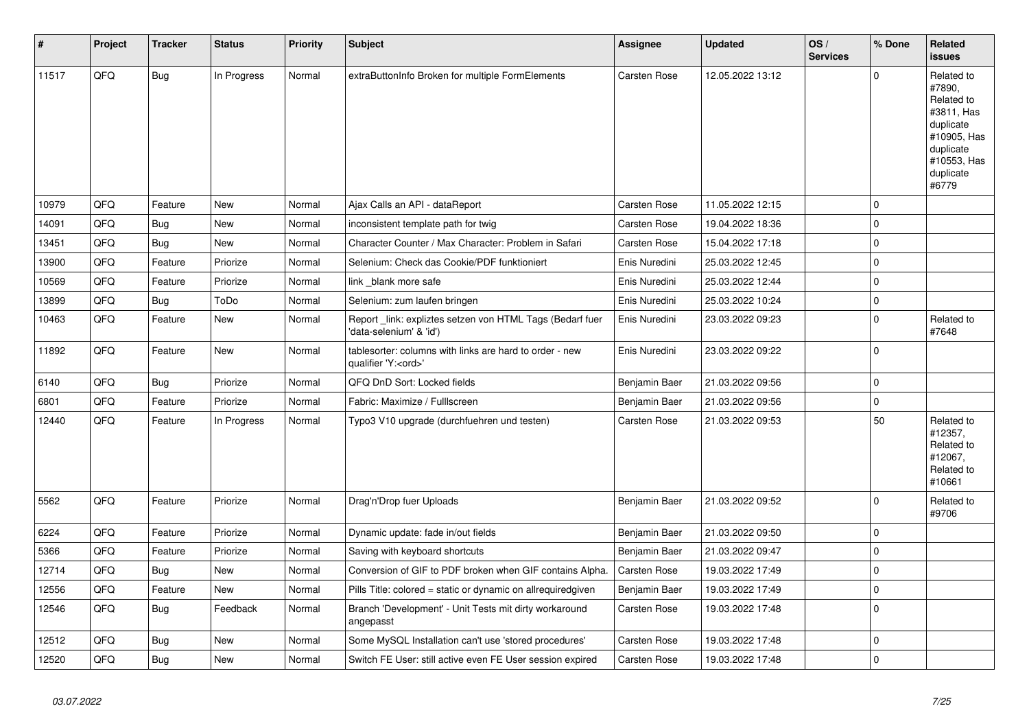| #     | Project | <b>Tracker</b> | <b>Status</b> | <b>Priority</b> | <b>Subject</b>                                                                        | <b>Assignee</b>     | <b>Updated</b>   | OS/<br><b>Services</b> | % Done   | <b>Related</b><br><b>issues</b>                                                                                                |
|-------|---------|----------------|---------------|-----------------|---------------------------------------------------------------------------------------|---------------------|------------------|------------------------|----------|--------------------------------------------------------------------------------------------------------------------------------|
| 11517 | QFQ     | Bug            | In Progress   | Normal          | extraButtonInfo Broken for multiple FormElements                                      | <b>Carsten Rose</b> | 12.05.2022 13:12 |                        | $\Omega$ | Related to<br>#7890,<br>Related to<br>#3811, Has<br>duplicate<br>#10905, Has<br>duplicate<br>#10553, Has<br>duplicate<br>#6779 |
| 10979 | QFQ     | Feature        | <b>New</b>    | Normal          | Ajax Calls an API - dataReport                                                        | Carsten Rose        | 11.05.2022 12:15 |                        | 0        |                                                                                                                                |
| 14091 | QFQ     | Bug            | New           | Normal          | inconsistent template path for twig                                                   | <b>Carsten Rose</b> | 19.04.2022 18:36 |                        | 0        |                                                                                                                                |
| 13451 | QFQ     | Bug            | <b>New</b>    | Normal          | Character Counter / Max Character: Problem in Safari                                  | <b>Carsten Rose</b> | 15.04.2022 17:18 |                        | 0        |                                                                                                                                |
| 13900 | QFQ     | Feature        | Priorize      | Normal          | Selenium: Check das Cookie/PDF funktioniert                                           | Enis Nuredini       | 25.03.2022 12:45 |                        | 0        |                                                                                                                                |
| 10569 | QFQ     | Feature        | Priorize      | Normal          | link _blank more safe                                                                 | Enis Nuredini       | 25.03.2022 12:44 |                        | $\Omega$ |                                                                                                                                |
| 13899 | QFQ     | <b>Bug</b>     | ToDo          | Normal          | Selenium: zum laufen bringen                                                          | Enis Nuredini       | 25.03.2022 10:24 |                        | 0        |                                                                                                                                |
| 10463 | QFQ     | Feature        | New           | Normal          | Report_link: expliztes setzen von HTML Tags (Bedarf fuer<br>data-selenium' & 'id')    | Enis Nuredini       | 23.03.2022 09:23 |                        | $\Omega$ | Related to<br>#7648                                                                                                            |
| 11892 | QFQ     | Feature        | <b>New</b>    | Normal          | tablesorter: columns with links are hard to order - new<br>qualifier 'Y: <ord>'</ord> | Enis Nuredini       | 23.03.2022 09:22 |                        | 0        |                                                                                                                                |
| 6140  | QFQ     | Bug            | Priorize      | Normal          | QFQ DnD Sort: Locked fields                                                           | Benjamin Baer       | 21.03.2022 09:56 |                        | 0        |                                                                                                                                |
| 6801  | QFQ     | Feature        | Priorize      | Normal          | Fabric: Maximize / Fulllscreen                                                        | Benjamin Baer       | 21.03.2022 09:56 |                        | 0        |                                                                                                                                |
| 12440 | QFQ     | Feature        | In Progress   | Normal          | Typo3 V10 upgrade (durchfuehren und testen)                                           | <b>Carsten Rose</b> | 21.03.2022 09:53 |                        | 50       | Related to<br>#12357,<br>Related to<br>#12067,<br>Related to<br>#10661                                                         |
| 5562  | QFQ     | Feature        | Priorize      | Normal          | Drag'n'Drop fuer Uploads                                                              | Benjamin Baer       | 21.03.2022 09:52 |                        | $\Omega$ | Related to<br>#9706                                                                                                            |
| 6224  | QFQ     | Feature        | Priorize      | Normal          | Dynamic update: fade in/out fields                                                    | Benjamin Baer       | 21.03.2022 09:50 |                        | 0        |                                                                                                                                |
| 5366  | QFQ     | Feature        | Priorize      | Normal          | Saving with keyboard shortcuts                                                        | Benjamin Baer       | 21.03.2022 09:47 |                        | 0        |                                                                                                                                |
| 12714 | QFQ     | Bug            | New           | Normal          | Conversion of GIF to PDF broken when GIF contains Alpha.                              | <b>Carsten Rose</b> | 19.03.2022 17:49 |                        | 0        |                                                                                                                                |
| 12556 | QFQ     | Feature        | <b>New</b>    | Normal          | Pills Title: colored = static or dynamic on allrequiredgiven                          | Benjamin Baer       | 19.03.2022 17:49 |                        | $\Omega$ |                                                                                                                                |
| 12546 | QFQ     | <b>Bug</b>     | Feedback      | Normal          | Branch 'Development' - Unit Tests mit dirty workaround<br>angepasst                   | <b>Carsten Rose</b> | 19.03.2022 17:48 |                        | $\Omega$ |                                                                                                                                |
| 12512 | QFQ     | <b>Bug</b>     | <b>New</b>    | Normal          | Some MySQL Installation can't use 'stored procedures'                                 | <b>Carsten Rose</b> | 19.03.2022 17:48 |                        | 0        |                                                                                                                                |
| 12520 | QFQ     | Bug            | <b>New</b>    | Normal          | Switch FE User: still active even FE User session expired                             | Carsten Rose        | 19.03.2022 17:48 |                        | 0        |                                                                                                                                |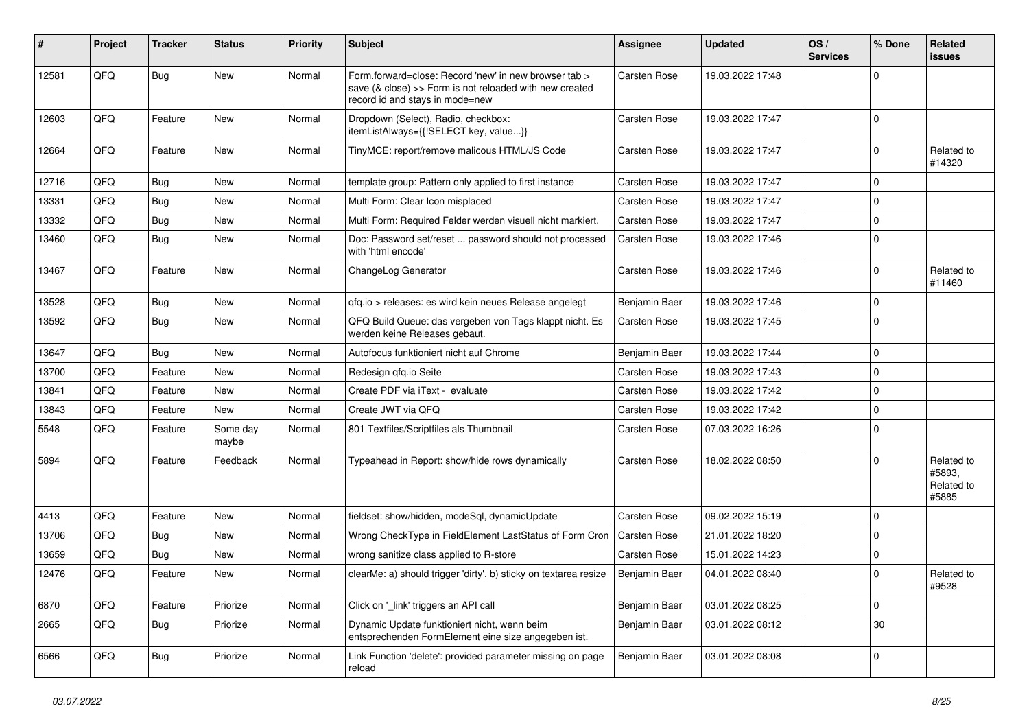| #     | Project | <b>Tracker</b> | <b>Status</b>     | <b>Priority</b> | <b>Subject</b>                                                                                                                                      | Assignee            | <b>Updated</b>   | OS/<br><b>Services</b> | % Done      | Related<br><b>issues</b>                    |
|-------|---------|----------------|-------------------|-----------------|-----------------------------------------------------------------------------------------------------------------------------------------------------|---------------------|------------------|------------------------|-------------|---------------------------------------------|
| 12581 | QFQ     | <b>Bug</b>     | New               | Normal          | Form.forward=close: Record 'new' in new browser tab ><br>save (& close) >> Form is not reloaded with new created<br>record id and stays in mode=new | Carsten Rose        | 19.03.2022 17:48 |                        | $\mathbf 0$ |                                             |
| 12603 | QFQ     | Feature        | <b>New</b>        | Normal          | Dropdown (Select), Radio, checkbox:<br>itemListAlways={{!SELECT key, value}}                                                                        | Carsten Rose        | 19.03.2022 17:47 |                        | $\mathbf 0$ |                                             |
| 12664 | QFQ     | Feature        | New               | Normal          | TinyMCE: report/remove malicous HTML/JS Code                                                                                                        | Carsten Rose        | 19.03.2022 17:47 |                        | $\mathbf 0$ | Related to<br>#14320                        |
| 12716 | QFQ     | Bug            | <b>New</b>        | Normal          | template group: Pattern only applied to first instance                                                                                              | Carsten Rose        | 19.03.2022 17:47 |                        | $\mathbf 0$ |                                             |
| 13331 | QFQ     | Bug            | <b>New</b>        | Normal          | Multi Form: Clear Icon misplaced                                                                                                                    | Carsten Rose        | 19.03.2022 17:47 |                        | $\mathbf 0$ |                                             |
| 13332 | QFQ     | Bug            | <b>New</b>        | Normal          | Multi Form: Required Felder werden visuell nicht markiert.                                                                                          | <b>Carsten Rose</b> | 19.03.2022 17:47 |                        | 0           |                                             |
| 13460 | QFQ     | Bug            | <b>New</b>        | Normal          | Doc: Password set/reset  password should not processed<br>with 'html encode'                                                                        | Carsten Rose        | 19.03.2022 17:46 |                        | $\mathbf 0$ |                                             |
| 13467 | QFQ     | Feature        | <b>New</b>        | Normal          | ChangeLog Generator                                                                                                                                 | Carsten Rose        | 19.03.2022 17:46 |                        | 0           | Related to<br>#11460                        |
| 13528 | QFQ     | Bug            | New               | Normal          | gfg.io > releases: es wird kein neues Release angelegt                                                                                              | Benjamin Baer       | 19.03.2022 17:46 |                        | $\mathbf 0$ |                                             |
| 13592 | QFQ     | Bug            | New               | Normal          | QFQ Build Queue: das vergeben von Tags klappt nicht. Es<br>werden keine Releases gebaut.                                                            | Carsten Rose        | 19.03.2022 17:45 |                        | $\mathbf 0$ |                                             |
| 13647 | QFQ     | Bug            | <b>New</b>        | Normal          | Autofocus funktioniert nicht auf Chrome                                                                                                             | Benjamin Baer       | 19.03.2022 17:44 |                        | $\mathbf 0$ |                                             |
| 13700 | QFQ     | Feature        | <b>New</b>        | Normal          | Redesign qfq.io Seite                                                                                                                               | Carsten Rose        | 19.03.2022 17:43 |                        | $\Omega$    |                                             |
| 13841 | QFQ     | Feature        | <b>New</b>        | Normal          | Create PDF via iText - evaluate                                                                                                                     | Carsten Rose        | 19.03.2022 17:42 |                        | $\mathbf 0$ |                                             |
| 13843 | QFQ     | Feature        | <b>New</b>        | Normal          | Create JWT via QFQ                                                                                                                                  | Carsten Rose        | 19.03.2022 17:42 |                        | $\mathbf 0$ |                                             |
| 5548  | QFQ     | Feature        | Some day<br>maybe | Normal          | 801 Textfiles/Scriptfiles als Thumbnail                                                                                                             | Carsten Rose        | 07.03.2022 16:26 |                        | $\mathbf 0$ |                                             |
| 5894  | QFQ     | Feature        | Feedback          | Normal          | Typeahead in Report: show/hide rows dynamically                                                                                                     | Carsten Rose        | 18.02.2022 08:50 |                        | $\mathbf 0$ | Related to<br>#5893,<br>Related to<br>#5885 |
| 4413  | QFQ     | Feature        | <b>New</b>        | Normal          | fieldset: show/hidden, modeSql, dynamicUpdate                                                                                                       | <b>Carsten Rose</b> | 09.02.2022 15:19 |                        | $\Omega$    |                                             |
| 13706 | QFQ     | <b>Bug</b>     | <b>New</b>        | Normal          | Wrong CheckType in FieldElement LastStatus of Form Cron                                                                                             | <b>Carsten Rose</b> | 21.01.2022 18:20 |                        | $\mathbf 0$ |                                             |
| 13659 | QFQ     | <b>Bug</b>     | <b>New</b>        | Normal          | wrong sanitize class applied to R-store                                                                                                             | Carsten Rose        | 15.01.2022 14:23 |                        | $\mathbf 0$ |                                             |
| 12476 | QFQ     | Feature        | <b>New</b>        | Normal          | clearMe: a) should trigger 'dirty', b) sticky on textarea resize                                                                                    | Benjamin Baer       | 04.01.2022 08:40 |                        | $\mathbf 0$ | Related to<br>#9528                         |
| 6870  | QFQ     | Feature        | Priorize          | Normal          | Click on '_link' triggers an API call                                                                                                               | Benjamin Baer       | 03.01.2022 08:25 |                        | $\mathbf 0$ |                                             |
| 2665  | QFQ     | <b>Bug</b>     | Priorize          | Normal          | Dynamic Update funktioniert nicht, wenn beim<br>entsprechenden FormElement eine size angegeben ist.                                                 | Benjamin Baer       | 03.01.2022 08:12 |                        | $30\,$      |                                             |
| 6566  | QFQ     | <b>Bug</b>     | Priorize          | Normal          | Link Function 'delete': provided parameter missing on page<br>reload                                                                                | Benjamin Baer       | 03.01.2022 08:08 |                        | 0           |                                             |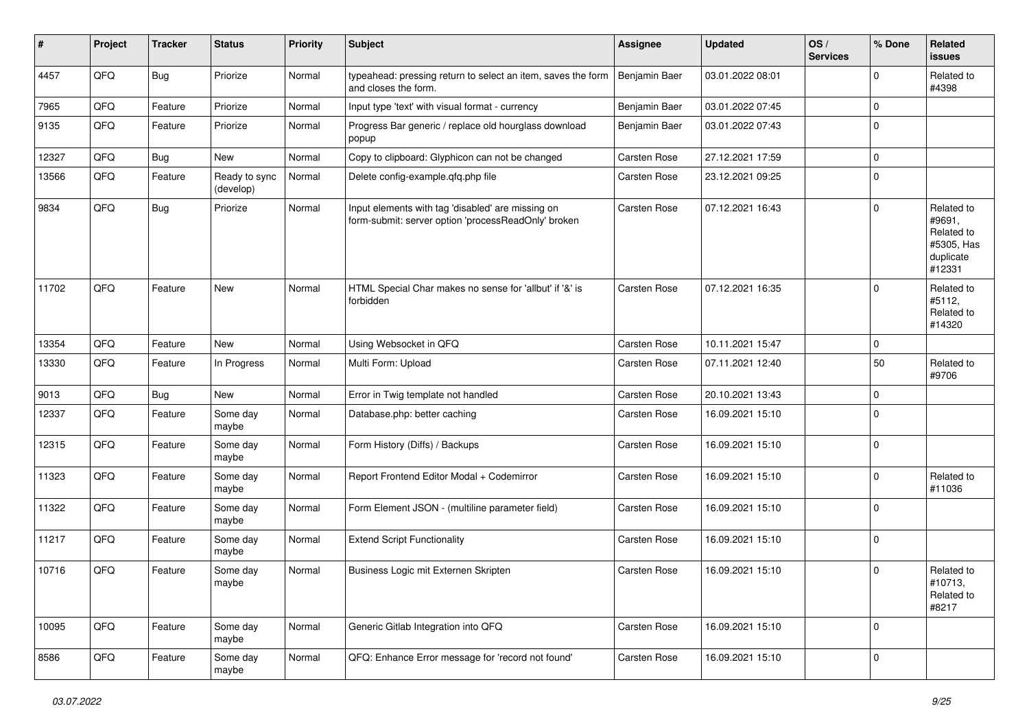| #     | Project | <b>Tracker</b> | <b>Status</b>              | <b>Priority</b> | <b>Subject</b>                                                                                           | <b>Assignee</b>     | <b>Updated</b>   | OS/<br><b>Services</b> | % Done      | Related<br><b>issues</b>                                                |
|-------|---------|----------------|----------------------------|-----------------|----------------------------------------------------------------------------------------------------------|---------------------|------------------|------------------------|-------------|-------------------------------------------------------------------------|
| 4457  | QFQ     | Bug            | Priorize                   | Normal          | typeahead: pressing return to select an item, saves the form<br>and closes the form.                     | Benjamin Baer       | 03.01.2022 08:01 |                        | $\mathbf 0$ | Related to<br>#4398                                                     |
| 7965  | QFQ     | Feature        | Priorize                   | Normal          | Input type 'text' with visual format - currency                                                          | Benjamin Baer       | 03.01.2022 07:45 |                        | $\mathbf 0$ |                                                                         |
| 9135  | QFQ     | Feature        | Priorize                   | Normal          | Progress Bar generic / replace old hourglass download<br>popup                                           | Benjamin Baer       | 03.01.2022 07:43 |                        | $\Omega$    |                                                                         |
| 12327 | QFQ     | Bug            | New                        | Normal          | Copy to clipboard: Glyphicon can not be changed                                                          | Carsten Rose        | 27.12.2021 17:59 |                        | $\mathbf 0$ |                                                                         |
| 13566 | QFQ     | Feature        | Ready to sync<br>(develop) | Normal          | Delete config-example.qfq.php file                                                                       | <b>Carsten Rose</b> | 23.12.2021 09:25 |                        | $\mathbf 0$ |                                                                         |
| 9834  | QFQ     | Bug            | Priorize                   | Normal          | Input elements with tag 'disabled' are missing on<br>form-submit: server option 'processReadOnly' broken | <b>Carsten Rose</b> | 07.12.2021 16:43 |                        | $\mathbf 0$ | Related to<br>#9691.<br>Related to<br>#5305, Has<br>duplicate<br>#12331 |
| 11702 | QFQ     | Feature        | <b>New</b>                 | Normal          | HTML Special Char makes no sense for 'allbut' if '&' is<br>forbidden                                     | <b>Carsten Rose</b> | 07.12.2021 16:35 |                        | $\mathbf 0$ | Related to<br>#5112,<br>Related to<br>#14320                            |
| 13354 | QFQ     | Feature        | New                        | Normal          | Using Websocket in QFQ                                                                                   | <b>Carsten Rose</b> | 10.11.2021 15:47 |                        | 0           |                                                                         |
| 13330 | QFQ     | Feature        | In Progress                | Normal          | Multi Form: Upload                                                                                       | Carsten Rose        | 07.11.2021 12:40 |                        | 50          | Related to<br>#9706                                                     |
| 9013  | QFQ     | <b>Bug</b>     | New                        | Normal          | Error in Twig template not handled                                                                       | <b>Carsten Rose</b> | 20.10.2021 13:43 |                        | 0           |                                                                         |
| 12337 | QFQ     | Feature        | Some day<br>maybe          | Normal          | Database.php: better caching                                                                             | <b>Carsten Rose</b> | 16.09.2021 15:10 |                        | $\mathbf 0$ |                                                                         |
| 12315 | QFQ     | Feature        | Some day<br>maybe          | Normal          | Form History (Diffs) / Backups                                                                           | <b>Carsten Rose</b> | 16.09.2021 15:10 |                        | $\mathbf 0$ |                                                                         |
| 11323 | QFQ     | Feature        | Some day<br>maybe          | Normal          | Report Frontend Editor Modal + Codemirror                                                                | <b>Carsten Rose</b> | 16.09.2021 15:10 |                        | $\mathbf 0$ | Related to<br>#11036                                                    |
| 11322 | QFQ     | Feature        | Some day<br>maybe          | Normal          | Form Element JSON - (multiline parameter field)                                                          | <b>Carsten Rose</b> | 16.09.2021 15:10 |                        | $\mathbf 0$ |                                                                         |
| 11217 | QFQ     | Feature        | Some day<br>maybe          | Normal          | <b>Extend Script Functionality</b>                                                                       | <b>Carsten Rose</b> | 16.09.2021 15:10 |                        | $\mathbf 0$ |                                                                         |
| 10716 | QFQ     | Feature        | Some day<br>maybe          | Normal          | Business Logic mit Externen Skripten                                                                     | <b>Carsten Rose</b> | 16.09.2021 15:10 |                        | $\Omega$    | Related to<br>#10713,<br>Related to<br>#8217                            |
| 10095 | QFQ     | Feature        | Some day<br>maybe          | Normal          | Generic Gitlab Integration into QFQ                                                                      | Carsten Rose        | 16.09.2021 15:10 |                        | $\mathbf 0$ |                                                                         |
| 8586  | QFQ     | Feature        | Some day<br>maybe          | Normal          | QFQ: Enhance Error message for 'record not found'                                                        | Carsten Rose        | 16.09.2021 15:10 |                        | $\Omega$    |                                                                         |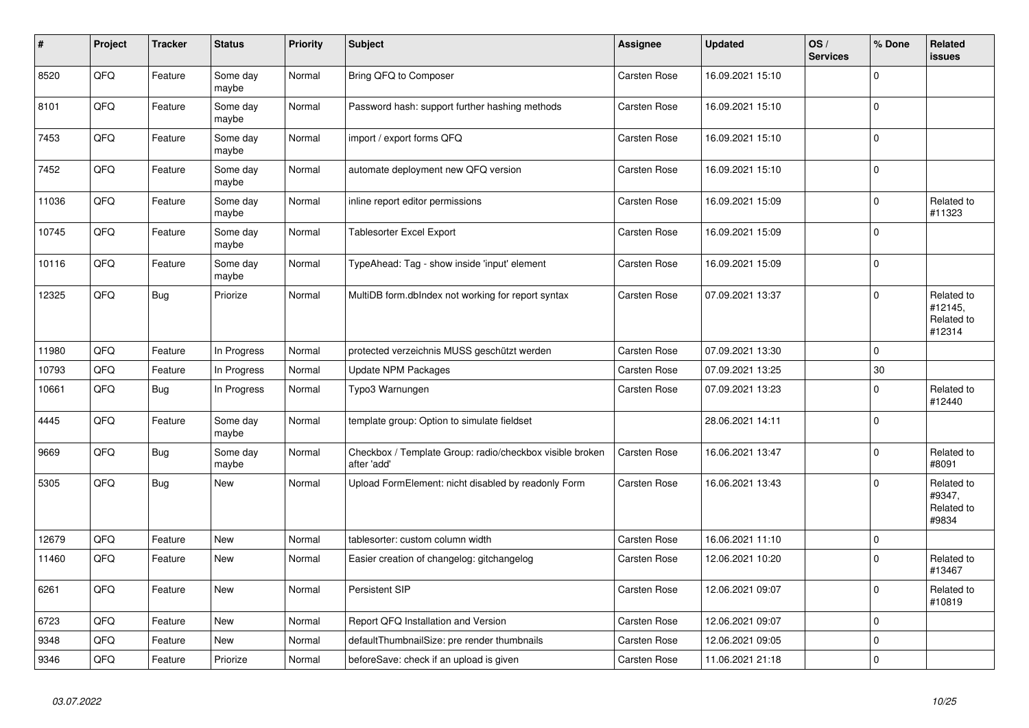| $\sharp$ | Project | <b>Tracker</b> | <b>Status</b>     | <b>Priority</b> | <b>Subject</b>                                                          | <b>Assignee</b>     | <b>Updated</b>   | OS/<br><b>Services</b> | % Done              | Related<br><b>issues</b>                      |
|----------|---------|----------------|-------------------|-----------------|-------------------------------------------------------------------------|---------------------|------------------|------------------------|---------------------|-----------------------------------------------|
| 8520     | QFQ     | Feature        | Some day<br>maybe | Normal          | Bring QFQ to Composer                                                   | <b>Carsten Rose</b> | 16.09.2021 15:10 |                        | $\mathbf{0}$        |                                               |
| 8101     | QFQ     | Feature        | Some day<br>maybe | Normal          | Password hash: support further hashing methods                          | <b>Carsten Rose</b> | 16.09.2021 15:10 |                        | $\mathbf 0$         |                                               |
| 7453     | QFQ     | Feature        | Some day<br>maybe | Normal          | import / export forms QFQ                                               | <b>Carsten Rose</b> | 16.09.2021 15:10 |                        | $\mathbf 0$         |                                               |
| 7452     | QFQ     | Feature        | Some day<br>maybe | Normal          | automate deployment new QFQ version                                     | <b>Carsten Rose</b> | 16.09.2021 15:10 |                        | $\mathsf{O}\xspace$ |                                               |
| 11036    | QFQ     | Feature        | Some day<br>maybe | Normal          | inline report editor permissions                                        | <b>Carsten Rose</b> | 16.09.2021 15:09 |                        | $\mathsf{O}\xspace$ | Related to<br>#11323                          |
| 10745    | QFQ     | Feature        | Some day<br>maybe | Normal          | <b>Tablesorter Excel Export</b>                                         | <b>Carsten Rose</b> | 16.09.2021 15:09 |                        | $\mathbf 0$         |                                               |
| 10116    | QFQ     | Feature        | Some day<br>maybe | Normal          | TypeAhead: Tag - show inside 'input' element                            | <b>Carsten Rose</b> | 16.09.2021 15:09 |                        | $\mathbf 0$         |                                               |
| 12325    | QFQ     | Bug            | Priorize          | Normal          | MultiDB form.dblndex not working for report syntax                      | Carsten Rose        | 07.09.2021 13:37 |                        | $\mathbf 0$         | Related to<br>#12145,<br>Related to<br>#12314 |
| 11980    | QFQ     | Feature        | In Progress       | Normal          | protected verzeichnis MUSS geschützt werden                             | <b>Carsten Rose</b> | 07.09.2021 13:30 |                        | $\mathsf{O}\xspace$ |                                               |
| 10793    | QFQ     | Feature        | In Progress       | Normal          | <b>Update NPM Packages</b>                                              | <b>Carsten Rose</b> | 07.09.2021 13:25 |                        | 30                  |                                               |
| 10661    | QFQ     | <b>Bug</b>     | In Progress       | Normal          | Typo3 Warnungen                                                         | Carsten Rose        | 07.09.2021 13:23 |                        | $\mathbf 0$         | Related to<br>#12440                          |
| 4445     | QFQ     | Feature        | Some day<br>maybe | Normal          | template group: Option to simulate fieldset                             |                     | 28.06.2021 14:11 |                        | $\mathbf 0$         |                                               |
| 9669     | QFQ     | Bug            | Some day<br>maybe | Normal          | Checkbox / Template Group: radio/checkbox visible broken<br>after 'add' | Carsten Rose        | 16.06.2021 13:47 |                        | $\mathbf{0}$        | Related to<br>#8091                           |
| 5305     | QFQ     | <b>Bug</b>     | <b>New</b>        | Normal          | Upload FormElement: nicht disabled by readonly Form                     | Carsten Rose        | 16.06.2021 13:43 |                        | $\Omega$            | Related to<br>#9347,<br>Related to<br>#9834   |
| 12679    | QFQ     | Feature        | New               | Normal          | tablesorter: custom column width                                        | <b>Carsten Rose</b> | 16.06.2021 11:10 |                        | $\mathsf{O}\xspace$ |                                               |
| 11460    | QFQ     | Feature        | <b>New</b>        | Normal          | Easier creation of changelog: gitchangelog                              | Carsten Rose        | 12.06.2021 10:20 |                        | $\Omega$            | Related to<br>#13467                          |
| 6261     | QFQ     | Feature        | New               | Normal          | Persistent SIP                                                          | <b>Carsten Rose</b> | 12.06.2021 09:07 |                        | $\Omega$            | Related to<br>#10819                          |
| 6723     | QFQ     | Feature        | New               | Normal          | Report QFQ Installation and Version                                     | <b>Carsten Rose</b> | 12.06.2021 09:07 |                        | $\mathbf 0$         |                                               |
| 9348     | QFQ     | Feature        | <b>New</b>        | Normal          | defaultThumbnailSize: pre render thumbnails                             | <b>Carsten Rose</b> | 12.06.2021 09:05 |                        | 0                   |                                               |
| 9346     | QFQ     | Feature        | Priorize          | Normal          | beforeSave: check if an upload is given                                 | Carsten Rose        | 11.06.2021 21:18 |                        | $\mathbf 0$         |                                               |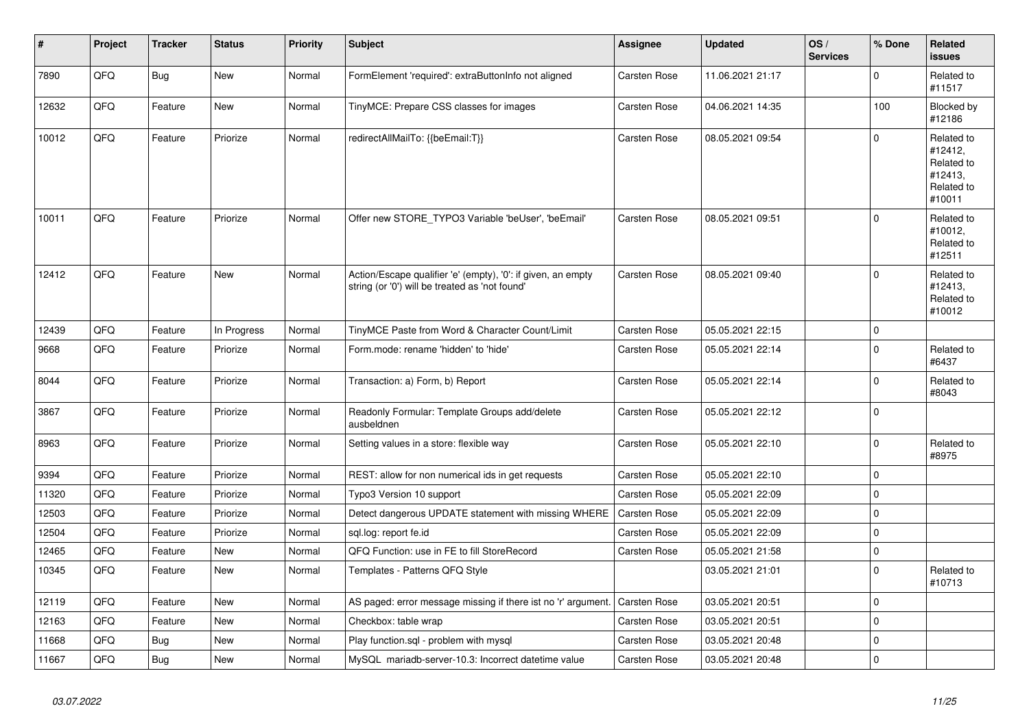| #     | Project | <b>Tracker</b> | <b>Status</b> | <b>Priority</b> | <b>Subject</b>                                                                                                 | <b>Assignee</b>     | <b>Updated</b>   | OS/<br><b>Services</b> | % Done              | <b>Related</b><br><b>issues</b>                                        |
|-------|---------|----------------|---------------|-----------------|----------------------------------------------------------------------------------------------------------------|---------------------|------------------|------------------------|---------------------|------------------------------------------------------------------------|
| 7890  | QFQ     | <b>Bug</b>     | <b>New</b>    | Normal          | FormElement 'required': extraButtonInfo not aligned                                                            | <b>Carsten Rose</b> | 11.06.2021 21:17 |                        | $\Omega$            | Related to<br>#11517                                                   |
| 12632 | QFQ     | Feature        | <b>New</b>    | Normal          | TinyMCE: Prepare CSS classes for images                                                                        | <b>Carsten Rose</b> | 04.06.2021 14:35 |                        | 100                 | Blocked by<br>#12186                                                   |
| 10012 | QFQ     | Feature        | Priorize      | Normal          | redirectAllMailTo: {{beEmail:T}}                                                                               | Carsten Rose        | 08.05.2021 09:54 |                        | 0                   | Related to<br>#12412,<br>Related to<br>#12413,<br>Related to<br>#10011 |
| 10011 | QFQ     | Feature        | Priorize      | Normal          | Offer new STORE_TYPO3 Variable 'beUser', 'beEmail'                                                             | Carsten Rose        | 08.05.2021 09:51 |                        | $\Omega$            | Related to<br>#10012,<br>Related to<br>#12511                          |
| 12412 | QFQ     | Feature        | <b>New</b>    | Normal          | Action/Escape qualifier 'e' (empty), '0': if given, an empty<br>string (or '0') will be treated as 'not found' | <b>Carsten Rose</b> | 08.05.2021 09:40 |                        | $\Omega$            | Related to<br>#12413,<br>Related to<br>#10012                          |
| 12439 | QFQ     | Feature        | In Progress   | Normal          | TinyMCE Paste from Word & Character Count/Limit                                                                | <b>Carsten Rose</b> | 05.05.2021 22:15 |                        | $\mathbf{0}$        |                                                                        |
| 9668  | QFQ     | Feature        | Priorize      | Normal          | Form.mode: rename 'hidden' to 'hide'                                                                           | <b>Carsten Rose</b> | 05.05.2021 22:14 |                        | $\Omega$            | Related to<br>#6437                                                    |
| 8044  | QFQ     | Feature        | Priorize      | Normal          | Transaction: a) Form, b) Report                                                                                | <b>Carsten Rose</b> | 05.05.2021 22:14 |                        | $\mathbf 0$         | Related to<br>#8043                                                    |
| 3867  | QFQ     | Feature        | Priorize      | Normal          | Readonly Formular: Template Groups add/delete<br>ausbeldnen                                                    | <b>Carsten Rose</b> | 05.05.2021 22:12 |                        | 0                   |                                                                        |
| 8963  | QFQ     | Feature        | Priorize      | Normal          | Setting values in a store: flexible way                                                                        | Carsten Rose        | 05.05.2021 22:10 |                        | $\Omega$            | Related to<br>#8975                                                    |
| 9394  | QFQ     | Feature        | Priorize      | Normal          | REST: allow for non numerical ids in get requests                                                              | Carsten Rose        | 05.05.2021 22:10 |                        | $\mathbf 0$         |                                                                        |
| 11320 | QFQ     | Feature        | Priorize      | Normal          | Typo3 Version 10 support                                                                                       | Carsten Rose        | 05.05.2021 22:09 |                        | $\mathbf 0$         |                                                                        |
| 12503 | QFQ     | Feature        | Priorize      | Normal          | Detect dangerous UPDATE statement with missing WHERE                                                           | <b>Carsten Rose</b> | 05.05.2021 22:09 |                        | $\mathbf 0$         |                                                                        |
| 12504 | QFQ     | Feature        | Priorize      | Normal          | sql.log: report fe.id                                                                                          | <b>Carsten Rose</b> | 05.05.2021 22:09 |                        | $\mathbf 0$         |                                                                        |
| 12465 | QFQ     | Feature        | <b>New</b>    | Normal          | QFQ Function: use in FE to fill StoreRecord                                                                    | Carsten Rose        | 05.05.2021 21:58 |                        | $\mathbf 0$         |                                                                        |
| 10345 | QFQ     | Feature        | New           | Normal          | Templates - Patterns QFQ Style                                                                                 |                     | 03.05.2021 21:01 |                        | $\Omega$            | Related to<br>#10713                                                   |
| 12119 | QFQ     | Feature        | <b>New</b>    | Normal          | AS paged: error message missing if there ist no 'r' argument.                                                  | Carsten Rose        | 03.05.2021 20:51 |                        | $\Omega$            |                                                                        |
| 12163 | QFQ     | Feature        | <b>New</b>    | Normal          | Checkbox: table wrap                                                                                           | Carsten Rose        | 03.05.2021 20:51 |                        | $\mathbf 0$         |                                                                        |
| 11668 | QFQ     | Bug            | New           | Normal          | Play function.sql - problem with mysql                                                                         | Carsten Rose        | 03.05.2021 20:48 |                        | $\mathsf{O}\xspace$ |                                                                        |
| 11667 | QFQ     | Bug            | <b>New</b>    | Normal          | MySQL mariadb-server-10.3: Incorrect datetime value                                                            | Carsten Rose        | 03.05.2021 20:48 |                        | $\pmb{0}$           |                                                                        |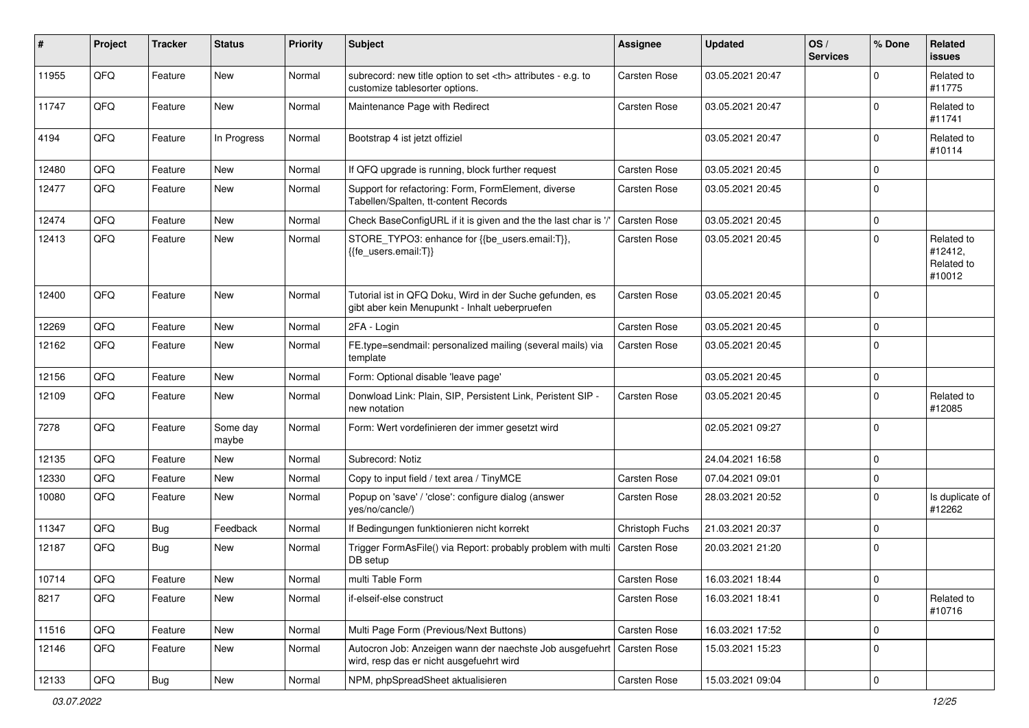| $\vert$ # | Project | <b>Tracker</b> | <b>Status</b>     | <b>Priority</b> | <b>Subject</b>                                                                                             | <b>Assignee</b>                                        | <b>Updated</b>      | OS/<br><b>Services</b> | % Done      | Related<br><b>issues</b>                      |                      |
|-----------|---------|----------------|-------------------|-----------------|------------------------------------------------------------------------------------------------------------|--------------------------------------------------------|---------------------|------------------------|-------------|-----------------------------------------------|----------------------|
| 11955     | QFQ     | Feature        | New               | Normal          | subrecord: new title option to set <th> attributes - e.g. to<br/>customize tablesorter options.</th>       | attributes - e.g. to<br>customize tablesorter options. | <b>Carsten Rose</b> | 03.05.2021 20:47       |             | $\Omega$                                      | Related to<br>#11775 |
| 11747     | QFQ     | Feature        | New               | Normal          | Maintenance Page with Redirect                                                                             | <b>Carsten Rose</b>                                    | 03.05.2021 20:47    |                        | $\mathbf 0$ | Related to<br>#11741                          |                      |
| 4194      | QFQ     | Feature        | In Progress       | Normal          | Bootstrap 4 ist jetzt offiziel                                                                             |                                                        | 03.05.2021 20:47    |                        | $\mathbf 0$ | Related to<br>#10114                          |                      |
| 12480     | QFQ     | Feature        | New               | Normal          | If QFQ upgrade is running, block further request                                                           | <b>Carsten Rose</b>                                    | 03.05.2021 20:45    |                        | 0           |                                               |                      |
| 12477     | QFQ     | Feature        | New               | Normal          | Support for refactoring: Form, FormElement, diverse<br>Tabellen/Spalten, tt-content Records                | Carsten Rose                                           | 03.05.2021 20:45    |                        | $\mathbf 0$ |                                               |                      |
| 12474     | QFQ     | Feature        | New               | Normal          | Check BaseConfigURL if it is given and the the last char is '/'                                            | <b>Carsten Rose</b>                                    | 03.05.2021 20:45    |                        | 0           |                                               |                      |
| 12413     | QFQ     | Feature        | New               | Normal          | STORE_TYPO3: enhance for {{be_users.email:T}},<br>{{fe_users.email:T}}                                     | <b>Carsten Rose</b>                                    | 03.05.2021 20:45    |                        | $\mathbf 0$ | Related to<br>#12412,<br>Related to<br>#10012 |                      |
| 12400     | QFQ     | Feature        | New               | Normal          | Tutorial ist in QFQ Doku, Wird in der Suche gefunden, es<br>gibt aber kein Menupunkt - Inhalt ueberpruefen | <b>Carsten Rose</b>                                    | 03.05.2021 20:45    |                        | $\mathbf 0$ |                                               |                      |
| 12269     | QFQ     | Feature        | <b>New</b>        | Normal          | 2FA - Login                                                                                                | Carsten Rose                                           | 03.05.2021 20:45    |                        | 0           |                                               |                      |
| 12162     | QFQ     | Feature        | New               | Normal          | FE.type=sendmail: personalized mailing (several mails) via<br>template                                     | <b>Carsten Rose</b>                                    | 03.05.2021 20:45    |                        | $\mathbf 0$ |                                               |                      |
| 12156     | QFQ     | Feature        | <b>New</b>        | Normal          | Form: Optional disable 'leave page'                                                                        |                                                        | 03.05.2021 20:45    |                        | 0           |                                               |                      |
| 12109     | QFQ     | Feature        | New               | Normal          | Donwload Link: Plain, SIP, Persistent Link, Peristent SIP -<br>new notation                                | <b>Carsten Rose</b>                                    | 03.05.2021 20:45    |                        | $\mathbf 0$ | Related to<br>#12085                          |                      |
| 7278      | QFQ     | Feature        | Some day<br>maybe | Normal          | Form: Wert vordefinieren der immer gesetzt wird                                                            |                                                        | 02.05.2021 09:27    |                        | $\mathbf 0$ |                                               |                      |
| 12135     | QFQ     | Feature        | New               | Normal          | Subrecord: Notiz                                                                                           |                                                        | 24.04.2021 16:58    |                        | 0           |                                               |                      |
| 12330     | QFQ     | Feature        | <b>New</b>        | Normal          | Copy to input field / text area / TinyMCE                                                                  | <b>Carsten Rose</b>                                    | 07.04.2021 09:01    |                        | 0           |                                               |                      |
| 10080     | QFQ     | Feature        | New               | Normal          | Popup on 'save' / 'close': configure dialog (answer<br>yes/no/cancle/)                                     | Carsten Rose                                           | 28.03.2021 20:52    |                        | $\mathbf 0$ | Is duplicate of<br>#12262                     |                      |
| 11347     | QFQ     | Bug            | Feedback          | Normal          | If Bedingungen funktionieren nicht korrekt                                                                 | Christoph Fuchs                                        | 21.03.2021 20:37    |                        | 0           |                                               |                      |
| 12187     | QFQ     | Bug            | <b>New</b>        | Normal          | Trigger FormAsFile() via Report: probably problem with multi<br>DB setup                                   | <b>Carsten Rose</b>                                    | 20.03.2021 21:20    |                        | $\mathbf 0$ |                                               |                      |
| 10714     | QFQ     | Feature        | New               | Normal          | multi Table Form                                                                                           | Carsten Rose                                           | 16.03.2021 18:44    |                        | 0           |                                               |                      |
| 8217      | QFQ     | Feature        | New               | Normal          | if-elseif-else construct                                                                                   | Carsten Rose                                           | 16.03.2021 18:41    |                        | 0           | Related to<br>#10716                          |                      |
| 11516     | QFQ     | Feature        | New               | Normal          | Multi Page Form (Previous/Next Buttons)                                                                    | Carsten Rose                                           | 16.03.2021 17:52    |                        | 0           |                                               |                      |
| 12146     | QFQ     | Feature        | New               | Normal          | Autocron Job: Anzeigen wann der naechste Job ausgefuehrt<br>wird, resp das er nicht ausgefuehrt wird       | Carsten Rose                                           | 15.03.2021 15:23    |                        | $\mathbf 0$ |                                               |                      |
| 12133     | QFG     | Bug            | New               | Normal          | NPM, phpSpreadSheet aktualisieren                                                                          | Carsten Rose                                           | 15.03.2021 09:04    |                        | $\mathsf 0$ |                                               |                      |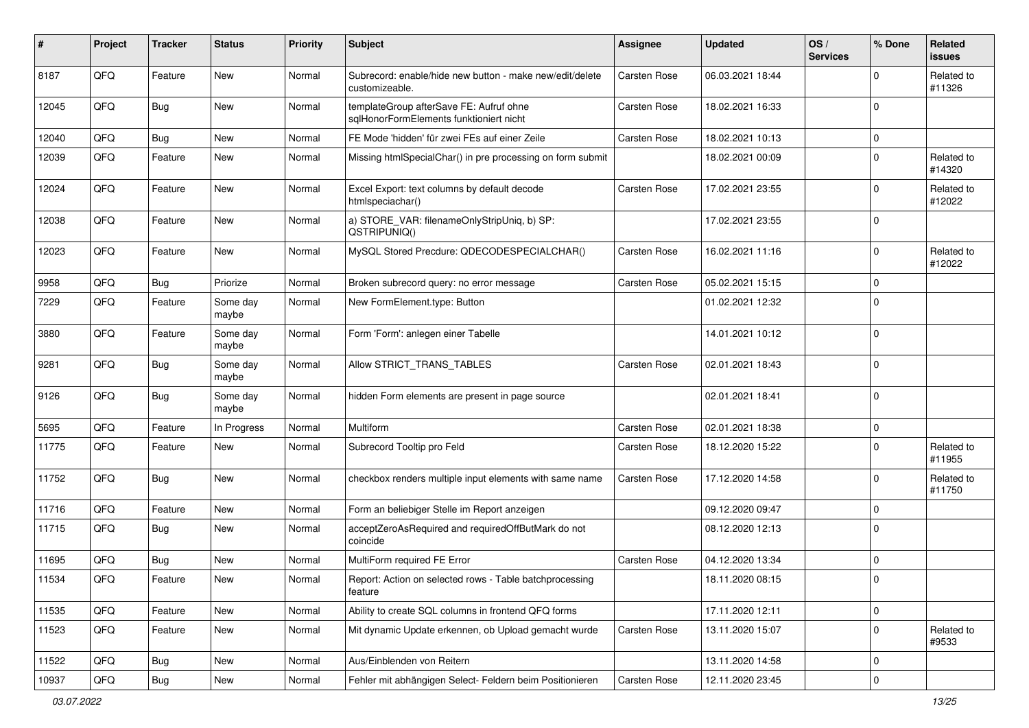| #     | Project | <b>Tracker</b> | <b>Status</b>     | <b>Priority</b> | <b>Subject</b>                                                                     | <b>Assignee</b>     | <b>Updated</b>   | OS/<br><b>Services</b> | % Done         | Related<br><b>issues</b> |
|-------|---------|----------------|-------------------|-----------------|------------------------------------------------------------------------------------|---------------------|------------------|------------------------|----------------|--------------------------|
| 8187  | QFQ     | Feature        | New               | Normal          | Subrecord: enable/hide new button - make new/edit/delete<br>customizeable.         | <b>Carsten Rose</b> | 06.03.2021 18:44 |                        | $\mathbf 0$    | Related to<br>#11326     |
| 12045 | QFQ     | <b>Bug</b>     | New               | Normal          | templateGroup afterSave FE: Aufruf ohne<br>sqlHonorFormElements funktioniert nicht | <b>Carsten Rose</b> | 18.02.2021 16:33 |                        | $\mathbf 0$    |                          |
| 12040 | QFQ     | Bug            | New               | Normal          | FE Mode 'hidden' für zwei FEs auf einer Zeile                                      | <b>Carsten Rose</b> | 18.02.2021 10:13 |                        | 0              |                          |
| 12039 | QFQ     | Feature        | <b>New</b>        | Normal          | Missing htmlSpecialChar() in pre processing on form submit                         |                     | 18.02.2021 00:09 |                        | $\mathbf 0$    | Related to<br>#14320     |
| 12024 | QFQ     | Feature        | New               | Normal          | Excel Export: text columns by default decode<br>htmlspeciachar()                   | <b>Carsten Rose</b> | 17.02.2021 23:55 |                        | $\mathbf 0$    | Related to<br>#12022     |
| 12038 | QFQ     | Feature        | <b>New</b>        | Normal          | a) STORE_VAR: filenameOnlyStripUniq, b) SP:<br>QSTRIPUNIQ()                        |                     | 17.02.2021 23:55 |                        | $\mathbf 0$    |                          |
| 12023 | QFQ     | Feature        | New               | Normal          | MySQL Stored Precdure: QDECODESPECIALCHAR()                                        | <b>Carsten Rose</b> | 16.02.2021 11:16 |                        | $\mathbf 0$    | Related to<br>#12022     |
| 9958  | QFQ     | Bug            | Priorize          | Normal          | Broken subrecord query: no error message                                           | <b>Carsten Rose</b> | 05.02.2021 15:15 |                        | $\mathbf 0$    |                          |
| 7229  | QFQ     | Feature        | Some day<br>maybe | Normal          | New FormElement.type: Button                                                       |                     | 01.02.2021 12:32 |                        | $\Omega$       |                          |
| 3880  | QFQ     | Feature        | Some day<br>maybe | Normal          | Form 'Form': anlegen einer Tabelle                                                 |                     | 14.01.2021 10:12 |                        | $\mathbf 0$    |                          |
| 9281  | QFQ     | Bug            | Some day<br>maybe | Normal          | Allow STRICT_TRANS_TABLES                                                          | <b>Carsten Rose</b> | 02.01.2021 18:43 |                        | $\mathbf 0$    |                          |
| 9126  | QFQ     | Bug            | Some day<br>maybe | Normal          | hidden Form elements are present in page source                                    |                     | 02.01.2021 18:41 |                        | 0              |                          |
| 5695  | QFQ     | Feature        | In Progress       | Normal          | Multiform                                                                          | <b>Carsten Rose</b> | 02.01.2021 18:38 |                        | $\mathbf 0$    |                          |
| 11775 | QFQ     | Feature        | New               | Normal          | Subrecord Tooltip pro Feld                                                         | <b>Carsten Rose</b> | 18.12.2020 15:22 |                        | $\mathbf 0$    | Related to<br>#11955     |
| 11752 | QFQ     | Bug            | New               | Normal          | checkbox renders multiple input elements with same name                            | Carsten Rose        | 17.12.2020 14:58 |                        | $\mathbf 0$    | Related to<br>#11750     |
| 11716 | QFQ     | Feature        | <b>New</b>        | Normal          | Form an beliebiger Stelle im Report anzeigen                                       |                     | 09.12.2020 09:47 |                        | 0              |                          |
| 11715 | QFQ     | Bug            | New               | Normal          | acceptZeroAsRequired and requiredOffButMark do not<br>coincide                     |                     | 08.12.2020 12:13 |                        | $\mathbf 0$    |                          |
| 11695 | QFQ     | Bug            | New               | Normal          | MultiForm required FE Error                                                        | <b>Carsten Rose</b> | 04.12.2020 13:34 |                        | 0              |                          |
| 11534 | QFG     | Feature        | <b>New</b>        | Normal          | Report: Action on selected rows - Table batchprocessing<br>feature                 |                     | 18.11.2020 08:15 |                        | $\mathbf 0$    |                          |
| 11535 | QFQ     | Feature        | New               | Normal          | Ability to create SQL columns in frontend QFQ forms                                |                     | 17.11.2020 12:11 |                        | 0              |                          |
| 11523 | QFQ     | Feature        | New               | Normal          | Mit dynamic Update erkennen, ob Upload gemacht wurde                               | <b>Carsten Rose</b> | 13.11.2020 15:07 |                        | $\mathbf 0$    | Related to<br>#9533      |
| 11522 | QFQ     | Bug            | New               | Normal          | Aus/Einblenden von Reitern                                                         |                     | 13.11.2020 14:58 |                        | $\mathbf 0$    |                          |
| 10937 | QFO     | <b>Bug</b>     | New               | Normal          | Fehler mit abhängigen Select- Feldern beim Positionieren                           | Carsten Rose        | 12.11.2020 23:45 |                        | $\overline{0}$ |                          |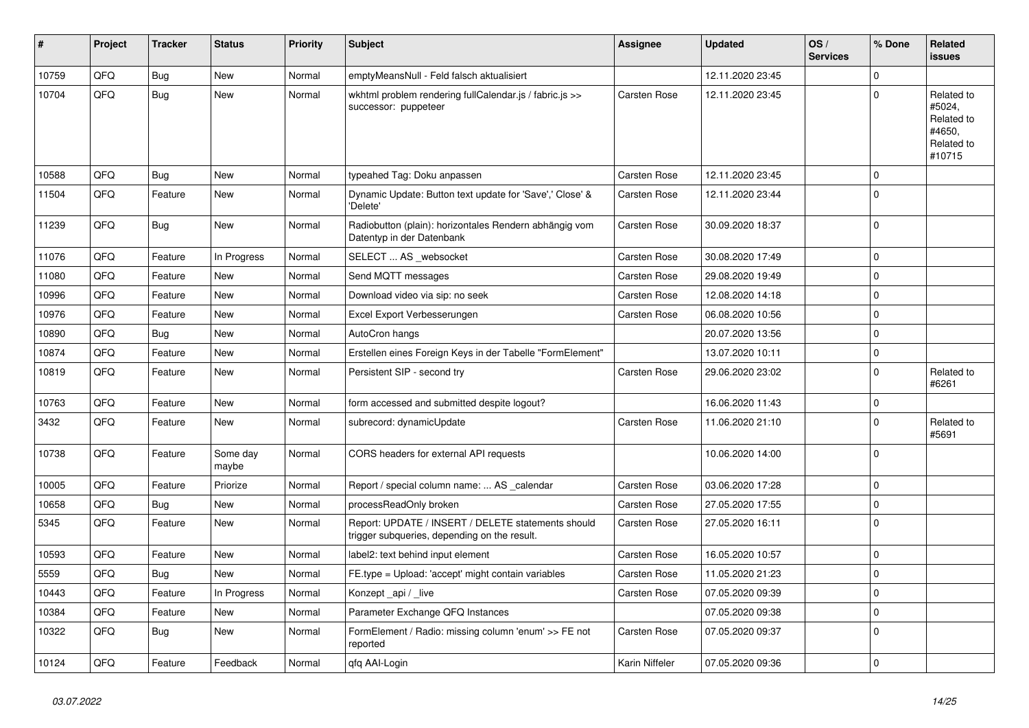| #     | Project | <b>Tracker</b> | <b>Status</b>     | <b>Priority</b> | <b>Subject</b>                                                                                     | <b>Assignee</b>     | <b>Updated</b>   | OS/<br><b>Services</b> | % Done              | <b>Related</b><br><b>issues</b>                                      |
|-------|---------|----------------|-------------------|-----------------|----------------------------------------------------------------------------------------------------|---------------------|------------------|------------------------|---------------------|----------------------------------------------------------------------|
| 10759 | QFQ     | Bug            | <b>New</b>        | Normal          | emptyMeansNull - Feld falsch aktualisiert                                                          |                     | 12.11.2020 23:45 |                        | $\Omega$            |                                                                      |
| 10704 | QFQ     | Bug            | <b>New</b>        | Normal          | wkhtml problem rendering fullCalendar.js / fabric.js >><br>successor: puppeteer                    | <b>Carsten Rose</b> | 12.11.2020 23:45 |                        | $\mathbf 0$         | Related to<br>#5024,<br>Related to<br>#4650,<br>Related to<br>#10715 |
| 10588 | QFQ     | Bug            | <b>New</b>        | Normal          | typeahed Tag: Doku anpassen                                                                        | Carsten Rose        | 12.11.2020 23:45 |                        | 0                   |                                                                      |
| 11504 | QFQ     | Feature        | New               | Normal          | Dynamic Update: Button text update for 'Save',' Close' &<br>'Delete'                               | Carsten Rose        | 12.11.2020 23:44 |                        | $\Omega$            |                                                                      |
| 11239 | QFQ     | <b>Bug</b>     | <b>New</b>        | Normal          | Radiobutton (plain): horizontales Rendern abhängig vom<br>Datentyp in der Datenbank                | <b>Carsten Rose</b> | 30.09.2020 18:37 |                        | $\mathbf 0$         |                                                                      |
| 11076 | QFQ     | Feature        | In Progress       | Normal          | SELECT  AS _websocket                                                                              | <b>Carsten Rose</b> | 30.08.2020 17:49 |                        | $\mathbf 0$         |                                                                      |
| 11080 | QFQ     | Feature        | <b>New</b>        | Normal          | Send MQTT messages                                                                                 | Carsten Rose        | 29.08.2020 19:49 |                        | $\mathbf 0$         |                                                                      |
| 10996 | QFQ     | Feature        | <b>New</b>        | Normal          | Download video via sip: no seek                                                                    | <b>Carsten Rose</b> | 12.08.2020 14:18 |                        | $\mathbf 0$         |                                                                      |
| 10976 | QFQ     | Feature        | <b>New</b>        | Normal          | Excel Export Verbesserungen                                                                        | <b>Carsten Rose</b> | 06.08.2020 10:56 |                        | $\mathbf 0$         |                                                                      |
| 10890 | QFQ     | Bug            | New               | Normal          | AutoCron hangs                                                                                     |                     | 20.07.2020 13:56 |                        | $\mathbf 0$         |                                                                      |
| 10874 | QFQ     | Feature        | New               | Normal          | Erstellen eines Foreign Keys in der Tabelle "FormElement"                                          |                     | 13.07.2020 10:11 |                        | $\mathsf{O}\xspace$ |                                                                      |
| 10819 | QFQ     | Feature        | <b>New</b>        | Normal          | Persistent SIP - second try                                                                        | Carsten Rose        | 29.06.2020 23:02 |                        | $\mathbf 0$         | Related to<br>#6261                                                  |
| 10763 | QFQ     | Feature        | New               | Normal          | form accessed and submitted despite logout?                                                        |                     | 16.06.2020 11:43 |                        | $\mathbf 0$         |                                                                      |
| 3432  | QFQ     | Feature        | New               | Normal          | subrecord: dynamicUpdate                                                                           | <b>Carsten Rose</b> | 11.06.2020 21:10 |                        | $\mathbf 0$         | Related to<br>#5691                                                  |
| 10738 | QFQ     | Feature        | Some day<br>maybe | Normal          | CORS headers for external API requests                                                             |                     | 10.06.2020 14:00 |                        | $\Omega$            |                                                                      |
| 10005 | QFQ     | Feature        | Priorize          | Normal          | Report / special column name:  AS _calendar                                                        | <b>Carsten Rose</b> | 03.06.2020 17:28 |                        | $\mathbf 0$         |                                                                      |
| 10658 | QFQ     | Bug            | <b>New</b>        | Normal          | processReadOnly broken                                                                             | <b>Carsten Rose</b> | 27.05.2020 17:55 |                        | $\mathbf 0$         |                                                                      |
| 5345  | QFQ     | Feature        | New               | Normal          | Report: UPDATE / INSERT / DELETE statements should<br>trigger subqueries, depending on the result. | <b>Carsten Rose</b> | 27.05.2020 16:11 |                        | $\mathbf 0$         |                                                                      |
| 10593 | QFQ     | Feature        | <b>New</b>        | Normal          | label2: text behind input element                                                                  | Carsten Rose        | 16.05.2020 10:57 |                        | $\Omega$            |                                                                      |
| 5559  | QFQ     | <b>Bug</b>     | New               | Normal          | FE.type = Upload: 'accept' might contain variables                                                 | Carsten Rose        | 11.05.2020 21:23 |                        | $\Omega$            |                                                                      |
| 10443 | QFQ     | Feature        | In Progress       | Normal          | Konzept_api / _live                                                                                | <b>Carsten Rose</b> | 07.05.2020 09:39 |                        | $\mathbf 0$         |                                                                      |
| 10384 | QFQ     | Feature        | New               | Normal          | Parameter Exchange QFQ Instances                                                                   |                     | 07.05.2020 09:38 |                        | $\mathbf 0$         |                                                                      |
| 10322 | QFQ     | Bug            | New               | Normal          | FormElement / Radio: missing column 'enum' >> FE not<br>reported                                   | <b>Carsten Rose</b> | 07.05.2020 09:37 |                        | $\mathbf 0$         |                                                                      |
| 10124 | QFQ     | Feature        | Feedback          | Normal          | qfq AAI-Login                                                                                      | Karin Niffeler      | 07.05.2020 09:36 |                        | $\mathbf 0$         |                                                                      |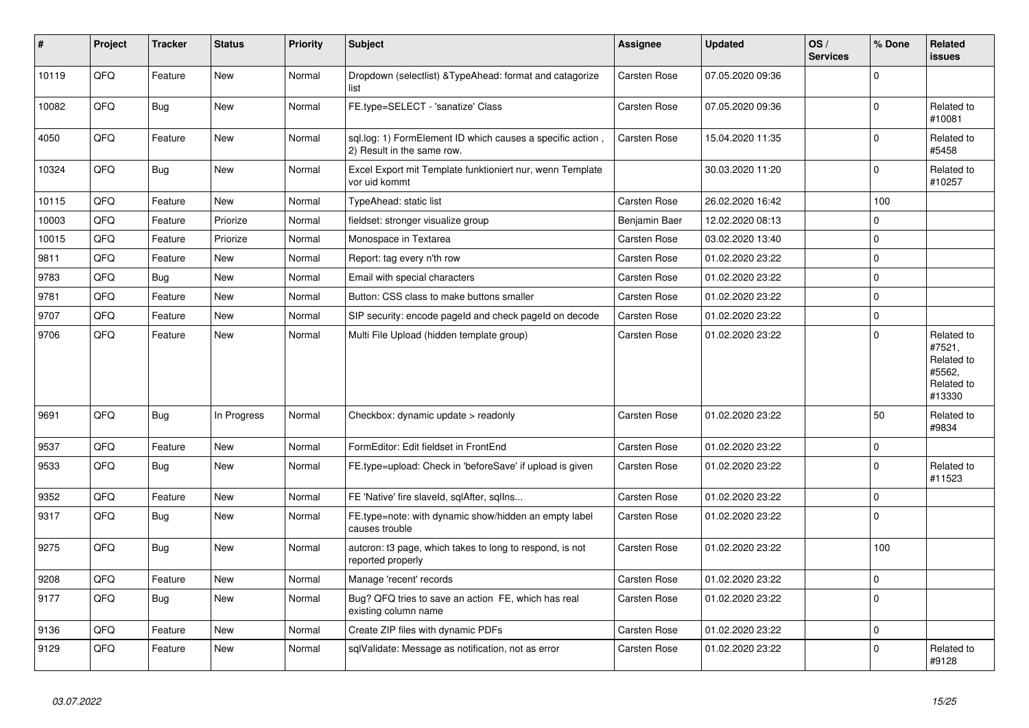| ∦     | Project | <b>Tracker</b> | <b>Status</b> | <b>Priority</b> | <b>Subject</b>                                                                           | Assignee            | <b>Updated</b>   | OS/<br><b>Services</b> | % Done      | Related<br><b>issues</b>                                             |
|-------|---------|----------------|---------------|-----------------|------------------------------------------------------------------------------------------|---------------------|------------------|------------------------|-------------|----------------------------------------------------------------------|
| 10119 | QFQ     | Feature        | <b>New</b>    | Normal          | Dropdown (selectlist) & Type Ahead: format and catagorize<br>list                        | <b>Carsten Rose</b> | 07.05.2020 09:36 |                        | $\Omega$    |                                                                      |
| 10082 | QFQ     | <b>Bug</b>     | New           | Normal          | FE.type=SELECT - 'sanatize' Class                                                        | Carsten Rose        | 07.05.2020 09:36 |                        | $\pmb{0}$   | Related to<br>#10081                                                 |
| 4050  | QFQ     | Feature        | <b>New</b>    | Normal          | sql.log: 1) FormElement ID which causes a specific action,<br>2) Result in the same row. | <b>Carsten Rose</b> | 15.04.2020 11:35 |                        | $\Omega$    | Related to<br>#5458                                                  |
| 10324 | QFQ     | Bug            | <b>New</b>    | Normal          | Excel Export mit Template funktioniert nur, wenn Template<br>vor uid kommt               |                     | 30.03.2020 11:20 |                        | $\Omega$    | Related to<br>#10257                                                 |
| 10115 | QFQ     | Feature        | <b>New</b>    | Normal          | TypeAhead: static list                                                                   | <b>Carsten Rose</b> | 26.02.2020 16:42 |                        | 100         |                                                                      |
| 10003 | QFQ     | Feature        | Priorize      | Normal          | fieldset: stronger visualize group                                                       | Benjamin Baer       | 12.02.2020 08:13 |                        | $\Omega$    |                                                                      |
| 10015 | QFQ     | Feature        | Priorize      | Normal          | Monospace in Textarea                                                                    | <b>Carsten Rose</b> | 03.02.2020 13:40 |                        | $\mathbf 0$ |                                                                      |
| 9811  | QFQ     | Feature        | <b>New</b>    | Normal          | Report: tag every n'th row                                                               | Carsten Rose        | 01.02.2020 23:22 |                        | $\mathbf 0$ |                                                                      |
| 9783  | QFQ     | <b>Bug</b>     | <b>New</b>    | Normal          | Email with special characters                                                            | <b>Carsten Rose</b> | 01.02.2020 23:22 |                        | 0           |                                                                      |
| 9781  | QFQ     | Feature        | <b>New</b>    | Normal          | Button: CSS class to make buttons smaller                                                | <b>Carsten Rose</b> | 01.02.2020 23:22 |                        | $\Omega$    |                                                                      |
| 9707  | QFQ     | Feature        | <b>New</b>    | Normal          | SIP security: encode pageld and check pageld on decode                                   | Carsten Rose        | 01.02.2020 23:22 |                        | $\mathbf 0$ |                                                                      |
| 9706  | QFQ     | Feature        | <b>New</b>    | Normal          | Multi File Upload (hidden template group)                                                | <b>Carsten Rose</b> | 01.02.2020 23:22 |                        | $\mathbf 0$ | Related to<br>#7521,<br>Related to<br>#5562,<br>Related to<br>#13330 |
| 9691  | QFQ     | Bug            | In Progress   | Normal          | Checkbox: dynamic update > readonly                                                      | Carsten Rose        | 01.02.2020 23:22 |                        | 50          | Related to<br>#9834                                                  |
| 9537  | QFQ     | Feature        | <b>New</b>    | Normal          | FormEditor: Edit fieldset in FrontEnd                                                    | Carsten Rose        | 01.02.2020 23:22 |                        | $\mathbf 0$ |                                                                      |
| 9533  | QFQ     | <b>Bug</b>     | New           | Normal          | FE.type=upload: Check in 'beforeSave' if upload is given                                 | <b>Carsten Rose</b> | 01.02.2020 23:22 |                        | $\mathbf 0$ | Related to<br>#11523                                                 |
| 9352  | QFQ     | Feature        | <b>New</b>    | Normal          | FE 'Native' fire slaveld, sqlAfter, sqlIns                                               | Carsten Rose        | 01.02.2020 23:22 |                        | 0           |                                                                      |
| 9317  | QFQ     | <b>Bug</b>     | New           | Normal          | FE.type=note: with dynamic show/hidden an empty label<br>causes trouble                  | <b>Carsten Rose</b> | 01.02.2020 23:22 |                        | $\Omega$    |                                                                      |
| 9275  | QFQ     | <b>Bug</b>     | <b>New</b>    | Normal          | autcron: t3 page, which takes to long to respond, is not<br>reported properly            | Carsten Rose        | 01.02.2020 23:22 |                        | 100         |                                                                      |
| 9208  | QFQ     | Feature        | <b>New</b>    | Normal          | Manage 'recent' records                                                                  | Carsten Rose        | 01.02.2020 23:22 |                        | $\mathbf 0$ |                                                                      |
| 9177  | QFQ     | Bug            | <b>New</b>    | Normal          | Bug? QFQ tries to save an action FE, which has real<br>existing column name              | Carsten Rose        | 01.02.2020 23:22 |                        | $\mathbf 0$ |                                                                      |
| 9136  | QFQ     | Feature        | <b>New</b>    | Normal          | Create ZIP files with dynamic PDFs                                                       | Carsten Rose        | 01.02.2020 23:22 |                        | $\mathbf 0$ |                                                                      |
| 9129  | QFQ     | Feature        | New           | Normal          | sqlValidate: Message as notification, not as error                                       | <b>Carsten Rose</b> | 01.02.2020 23:22 |                        | $\mathbf 0$ | Related to<br>#9128                                                  |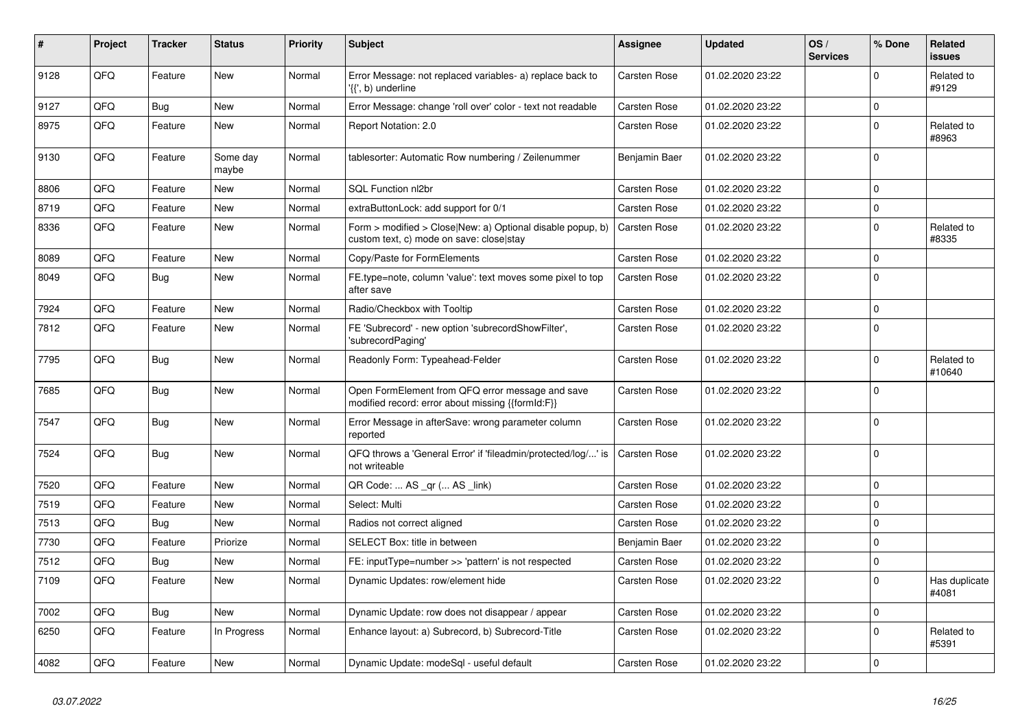| #    | Project | <b>Tracker</b> | <b>Status</b>     | <b>Priority</b> | <b>Subject</b>                                                                                         | Assignee            | <b>Updated</b>   | OS/<br><b>Services</b> | % Done              | <b>Related</b><br><b>issues</b> |
|------|---------|----------------|-------------------|-----------------|--------------------------------------------------------------------------------------------------------|---------------------|------------------|------------------------|---------------------|---------------------------------|
| 9128 | QFQ     | Feature        | <b>New</b>        | Normal          | Error Message: not replaced variables- a) replace back to<br>'{{', b) underline                        | <b>Carsten Rose</b> | 01.02.2020 23:22 |                        | $\Omega$            | Related to<br>#9129             |
| 9127 | QFQ     | <b>Bug</b>     | <b>New</b>        | Normal          | Error Message: change 'roll over' color - text not readable                                            | <b>Carsten Rose</b> | 01.02.2020 23:22 |                        | $\mathbf 0$         |                                 |
| 8975 | QFQ     | Feature        | <b>New</b>        | Normal          | Report Notation: 2.0                                                                                   | Carsten Rose        | 01.02.2020 23:22 |                        | $\mathbf 0$         | Related to<br>#8963             |
| 9130 | QFQ     | Feature        | Some day<br>maybe | Normal          | tablesorter: Automatic Row numbering / Zeilenummer                                                     | Benjamin Baer       | 01.02.2020 23:22 |                        | $\Omega$            |                                 |
| 8806 | QFQ     | Feature        | <b>New</b>        | Normal          | <b>SQL Function nl2br</b>                                                                              | <b>Carsten Rose</b> | 01.02.2020 23:22 |                        | $\mathbf 0$         |                                 |
| 8719 | QFQ     | Feature        | <b>New</b>        | Normal          | extraButtonLock: add support for 0/1                                                                   | Carsten Rose        | 01.02.2020 23:22 |                        | $\mathbf 0$         |                                 |
| 8336 | QFQ     | Feature        | <b>New</b>        | Normal          | Form > modified > Close New: a) Optional disable popup, b)<br>custom text, c) mode on save: close stay | <b>Carsten Rose</b> | 01.02.2020 23:22 |                        | $\mathbf 0$         | Related to<br>#8335             |
| 8089 | QFQ     | Feature        | <b>New</b>        | Normal          | Copy/Paste for FormElements                                                                            | Carsten Rose        | 01.02.2020 23:22 |                        | $\mathbf 0$         |                                 |
| 8049 | QFQ     | Bug            | <b>New</b>        | Normal          | FE.type=note, column 'value': text moves some pixel to top<br>after save                               | <b>Carsten Rose</b> | 01.02.2020 23:22 |                        | $\Omega$            |                                 |
| 7924 | QFQ     | Feature        | New               | Normal          | Radio/Checkbox with Tooltip                                                                            | Carsten Rose        | 01.02.2020 23:22 |                        | $\mathbf 0$         |                                 |
| 7812 | QFQ     | Feature        | <b>New</b>        | Normal          | FE 'Subrecord' - new option 'subrecordShowFilter',<br>'subrecordPaging'                                | <b>Carsten Rose</b> | 01.02.2020 23:22 |                        | $\mathbf 0$         |                                 |
| 7795 | QFQ     | Bug            | <b>New</b>        | Normal          | Readonly Form: Typeahead-Felder                                                                        | Carsten Rose        | 01.02.2020 23:22 |                        | $\Omega$            | Related to<br>#10640            |
| 7685 | QFQ     | <b>Bug</b>     | <b>New</b>        | Normal          | Open FormElement from QFQ error message and save<br>modified record: error about missing {{formId:F}}  | <b>Carsten Rose</b> | 01.02.2020 23:22 |                        | $\Omega$            |                                 |
| 7547 | QFQ     | Bug            | <b>New</b>        | Normal          | Error Message in afterSave: wrong parameter column<br>reported                                         | <b>Carsten Rose</b> | 01.02.2020 23:22 |                        | $\mathbf 0$         |                                 |
| 7524 | QFQ     | Bug            | <b>New</b>        | Normal          | QFQ throws a 'General Error' if 'fileadmin/protected/log/' is<br>not writeable                         | Carsten Rose        | 01.02.2020 23:22 |                        | $\overline{0}$      |                                 |
| 7520 | QFQ     | Feature        | <b>New</b>        | Normal          | QR Code:  AS _qr ( AS _link)                                                                           | Carsten Rose        | 01.02.2020 23:22 |                        | $\mathbf{0}$        |                                 |
| 7519 | QFQ     | Feature        | New               | Normal          | Select: Multi                                                                                          | <b>Carsten Rose</b> | 01.02.2020 23:22 |                        | $\mathbf{0}$        |                                 |
| 7513 | QFQ     | Bug            | <b>New</b>        | Normal          | Radios not correct aligned                                                                             | <b>Carsten Rose</b> | 01.02.2020 23:22 |                        | $\mathbf 0$         |                                 |
| 7730 | QFQ     | Feature        | Priorize          | Normal          | SELECT Box: title in between                                                                           | Benjamin Baer       | 01.02.2020 23:22 |                        | $\mathbf{0}$        |                                 |
| 7512 | QFQ     | <b>Bug</b>     | <b>New</b>        | Normal          | FE: inputType=number >> 'pattern' is not respected                                                     | Carsten Rose        | 01.02.2020 23:22 |                        | $\mathsf{O}\xspace$ |                                 |
| 7109 | QFQ     | Feature        | <b>New</b>        | Normal          | Dynamic Updates: row/element hide                                                                      | Carsten Rose        | 01.02.2020 23:22 |                        | $\Omega$            | Has duplicate<br>#4081          |
| 7002 | QFQ     | Bug            | New               | Normal          | Dynamic Update: row does not disappear / appear                                                        | <b>Carsten Rose</b> | 01.02.2020 23:22 |                        | $\mathbf 0$         |                                 |
| 6250 | QFQ     | Feature        | In Progress       | Normal          | Enhance layout: a) Subrecord, b) Subrecord-Title                                                       | Carsten Rose        | 01.02.2020 23:22 |                        | $\mathbf{0}$        | Related to<br>#5391             |
| 4082 | QFQ     | Feature        | New               | Normal          | Dynamic Update: modeSql - useful default                                                               | Carsten Rose        | 01.02.2020 23:22 |                        | $\mathbf 0$         |                                 |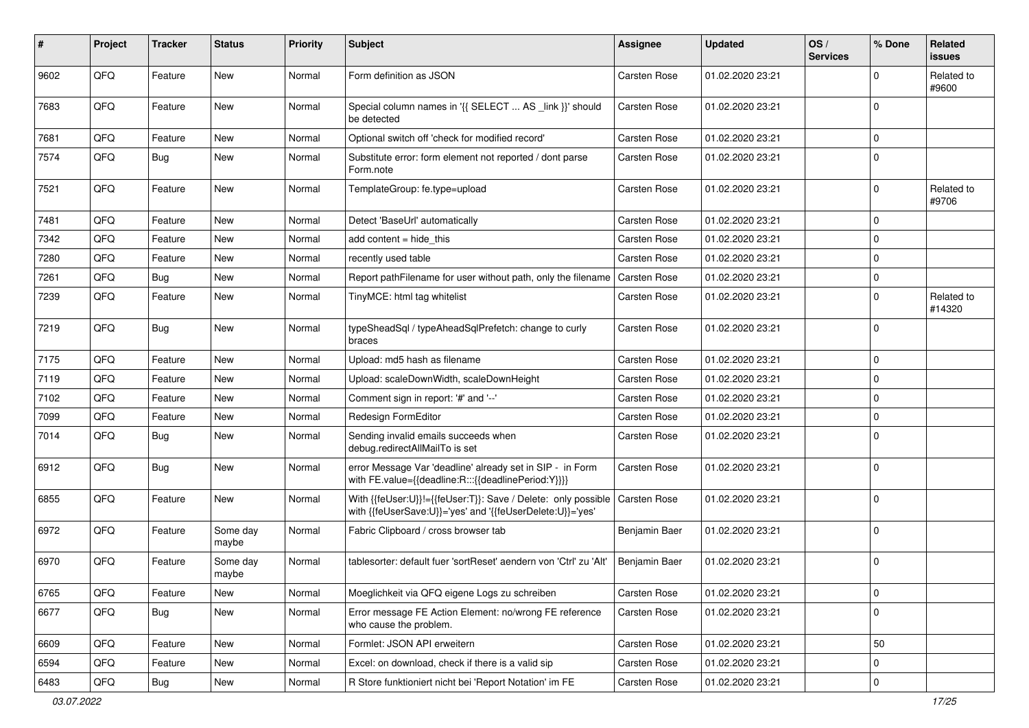| #    | Project | <b>Tracker</b> | <b>Status</b>     | <b>Priority</b> | <b>Subject</b>                                                                                                             | <b>Assignee</b>     | <b>Updated</b>   | OS/<br><b>Services</b> | % Done              | Related<br><b>issues</b> |
|------|---------|----------------|-------------------|-----------------|----------------------------------------------------------------------------------------------------------------------------|---------------------|------------------|------------------------|---------------------|--------------------------|
| 9602 | QFQ     | Feature        | New               | Normal          | Form definition as JSON                                                                                                    | <b>Carsten Rose</b> | 01.02.2020 23:21 |                        | $\mathbf 0$         | Related to<br>#9600      |
| 7683 | QFQ     | Feature        | New               | Normal          | Special column names in '{{ SELECT  AS _link }}' should<br>be detected                                                     | <b>Carsten Rose</b> | 01.02.2020 23:21 |                        | $\mathbf 0$         |                          |
| 7681 | QFQ     | Feature        | <b>New</b>        | Normal          | Optional switch off 'check for modified record'                                                                            | <b>Carsten Rose</b> | 01.02.2020 23:21 |                        | $\mathbf 0$         |                          |
| 7574 | QFQ     | Bug            | <b>New</b>        | Normal          | Substitute error: form element not reported / dont parse<br>Form.note                                                      | <b>Carsten Rose</b> | 01.02.2020 23:21 |                        | $\mathbf 0$         |                          |
| 7521 | QFQ     | Feature        | New               | Normal          | TemplateGroup: fe.type=upload                                                                                              | Carsten Rose        | 01.02.2020 23:21 |                        | $\mathbf 0$         | Related to<br>#9706      |
| 7481 | QFQ     | Feature        | New               | Normal          | Detect 'BaseUrl' automatically                                                                                             | <b>Carsten Rose</b> | 01.02.2020 23:21 |                        | $\mathbf 0$         |                          |
| 7342 | QFQ     | Feature        | New               | Normal          | add content $=$ hide this                                                                                                  | Carsten Rose        | 01.02.2020 23:21 |                        | $\mathbf 0$         |                          |
| 7280 | QFQ     | Feature        | <b>New</b>        | Normal          | recently used table                                                                                                        | <b>Carsten Rose</b> | 01.02.2020 23:21 |                        | $\Omega$            |                          |
| 7261 | QFQ     | <b>Bug</b>     | New               | Normal          | Report pathFilename for user without path, only the filename                                                               | <b>Carsten Rose</b> | 01.02.2020 23:21 |                        | $\mathbf 0$         |                          |
| 7239 | QFQ     | Feature        | New               | Normal          | TinyMCE: html tag whitelist                                                                                                | <b>Carsten Rose</b> | 01.02.2020 23:21 |                        | $\mathbf 0$         | Related to<br>#14320     |
| 7219 | QFQ     | Bug            | <b>New</b>        | Normal          | typeSheadSql / typeAheadSqlPrefetch: change to curly<br>braces                                                             | <b>Carsten Rose</b> | 01.02.2020 23:21 |                        | 0                   |                          |
| 7175 | QFQ     | Feature        | New               | Normal          | Upload: md5 hash as filename                                                                                               | <b>Carsten Rose</b> | 01.02.2020 23:21 |                        | 0                   |                          |
| 7119 | QFQ     | Feature        | New               | Normal          | Upload: scaleDownWidth, scaleDownHeight                                                                                    | Carsten Rose        | 01.02.2020 23:21 |                        | 0                   |                          |
| 7102 | QFQ     | Feature        | <b>New</b>        | Normal          | Comment sign in report: '#' and '--'                                                                                       | <b>Carsten Rose</b> | 01.02.2020 23:21 |                        | $\mathbf 0$         |                          |
| 7099 | QFQ     | Feature        | New               | Normal          | Redesign FormEditor                                                                                                        | <b>Carsten Rose</b> | 01.02.2020 23:21 |                        | 0                   |                          |
| 7014 | QFQ     | <b>Bug</b>     | New               | Normal          | Sending invalid emails succeeds when<br>debug.redirectAllMailTo is set                                                     | <b>Carsten Rose</b> | 01.02.2020 23:21 |                        | $\mathbf 0$         |                          |
| 6912 | QFQ     | Bug            | <b>New</b>        | Normal          | error Message Var 'deadline' already set in SIP - in Form<br>with FE.value={{deadline:R:::{{deadlinePeriod:Y}}}}           | Carsten Rose        | 01.02.2020 23:21 |                        | $\mathbf 0$         |                          |
| 6855 | QFQ     | Feature        | New               | Normal          | With {{feUser:U}}!={{feUser:T}}: Save / Delete: only possible<br>with {{feUserSave:U}}='yes' and '{{feUserDelete:U}}='yes' | <b>Carsten Rose</b> | 01.02.2020 23:21 |                        | 0                   |                          |
| 6972 | QFQ     | Feature        | Some day<br>maybe | Normal          | Fabric Clipboard / cross browser tab                                                                                       | Benjamin Baer       | 01.02.2020 23:21 |                        | 0                   |                          |
| 6970 | QFQ     | Feature        | Some day<br>maybe | Normal          | tablesorter: default fuer 'sortReset' aendern von 'Ctrl' zu 'Alt'                                                          | Benjamin Baer       | 01.02.2020 23:21 |                        | 0                   |                          |
| 6765 | QFO     | Feature        | New               | Normal          | Moeglichkeit via QFQ eigene Logs zu schreiben                                                                              | Carsten Rose        | 01.02.2020 23:21 |                        | 0                   |                          |
| 6677 | QFQ     | Bug            | New               | Normal          | Error message FE Action Element: no/wrong FE reference<br>who cause the problem.                                           | Carsten Rose        | 01.02.2020 23:21 |                        | $\mathbf 0$         |                          |
| 6609 | QFQ     | Feature        | New               | Normal          | Formlet: JSON API erweitern                                                                                                | Carsten Rose        | 01.02.2020 23:21 |                        | 50                  |                          |
| 6594 | QFQ     | Feature        | New               | Normal          | Excel: on download, check if there is a valid sip                                                                          | Carsten Rose        | 01.02.2020 23:21 |                        | 0                   |                          |
| 6483 | QFG     | <b>Bug</b>     | New               | Normal          | R Store funktioniert nicht bei 'Report Notation' im FE                                                                     | Carsten Rose        | 01.02.2020 23:21 |                        | $\mathsf{O}\xspace$ |                          |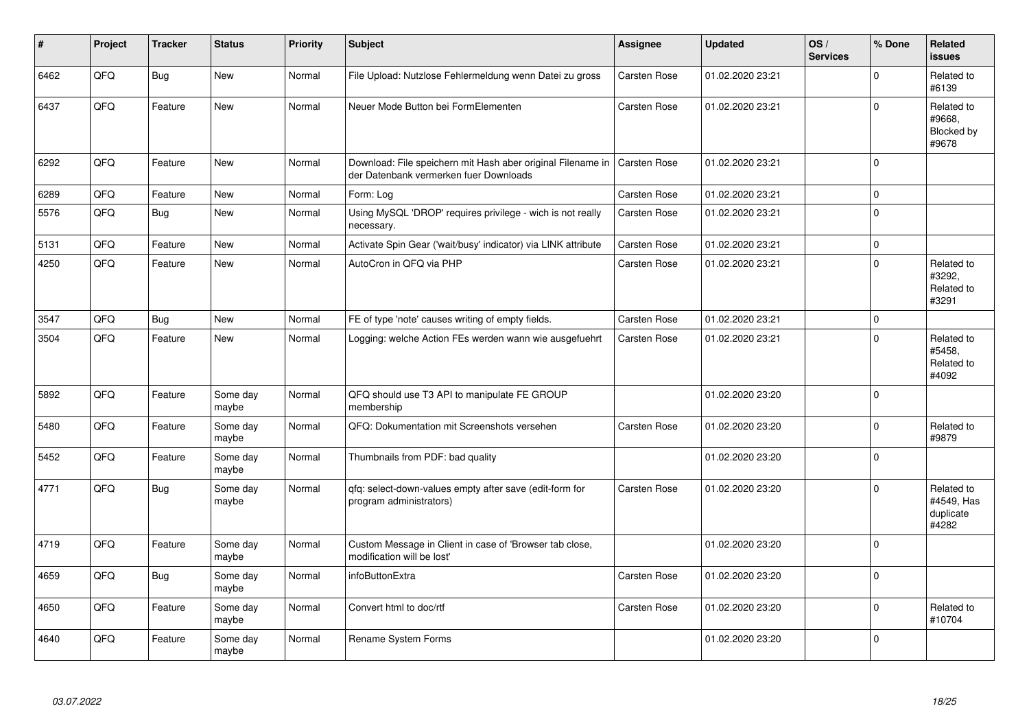| #    | Project | <b>Tracker</b> | <b>Status</b>     | Priority | <b>Subject</b>                                                                                        | Assignee            | <b>Updated</b>   | OS/<br><b>Services</b> | % Done       | <b>Related</b><br><b>issues</b>                |
|------|---------|----------------|-------------------|----------|-------------------------------------------------------------------------------------------------------|---------------------|------------------|------------------------|--------------|------------------------------------------------|
| 6462 | QFQ     | <b>Bug</b>     | New               | Normal   | File Upload: Nutzlose Fehlermeldung wenn Datei zu gross                                               | Carsten Rose        | 01.02.2020 23:21 |                        | $\mathbf{0}$ | Related to<br>#6139                            |
| 6437 | QFQ     | Feature        | <b>New</b>        | Normal   | Neuer Mode Button bei FormElementen                                                                   | <b>Carsten Rose</b> | 01.02.2020 23:21 |                        | $\Omega$     | Related to<br>#9668,<br>Blocked by<br>#9678    |
| 6292 | QFQ     | Feature        | <b>New</b>        | Normal   | Download: File speichern mit Hash aber original Filename in<br>der Datenbank vermerken fuer Downloads | Carsten Rose        | 01.02.2020 23:21 |                        | $\Omega$     |                                                |
| 6289 | QFQ     | Feature        | <b>New</b>        | Normal   | Form: Log                                                                                             | Carsten Rose        | 01.02.2020 23:21 |                        | $\mathbf 0$  |                                                |
| 5576 | QFQ     | Bug            | <b>New</b>        | Normal   | Using MySQL 'DROP' requires privilege - wich is not really<br>necessary.                              | Carsten Rose        | 01.02.2020 23:21 |                        | $\mathbf 0$  |                                                |
| 5131 | QFQ     | Feature        | <b>New</b>        | Normal   | Activate Spin Gear ('wait/busy' indicator) via LINK attribute                                         | Carsten Rose        | 01.02.2020 23:21 |                        | $\mathbf 0$  |                                                |
| 4250 | QFQ     | Feature        | New               | Normal   | AutoCron in QFQ via PHP                                                                               | <b>Carsten Rose</b> | 01.02.2020 23:21 |                        | $\mathbf 0$  | Related to<br>#3292,<br>Related to<br>#3291    |
| 3547 | QFQ     | Bug            | <b>New</b>        | Normal   | FE of type 'note' causes writing of empty fields.                                                     | <b>Carsten Rose</b> | 01.02.2020 23:21 |                        | $\mathbf 0$  |                                                |
| 3504 | QFQ     | Feature        | <b>New</b>        | Normal   | Logging: welche Action FEs werden wann wie ausgefuehrt                                                | <b>Carsten Rose</b> | 01.02.2020 23:21 |                        | $\mathbf 0$  | Related to<br>#5458.<br>Related to<br>#4092    |
| 5892 | QFQ     | Feature        | Some day<br>maybe | Normal   | QFQ should use T3 API to manipulate FE GROUP<br>membership                                            |                     | 01.02.2020 23:20 |                        | $\Omega$     |                                                |
| 5480 | QFQ     | Feature        | Some day<br>maybe | Normal   | QFQ: Dokumentation mit Screenshots versehen                                                           | Carsten Rose        | 01.02.2020 23:20 |                        | $\mathbf 0$  | Related to<br>#9879                            |
| 5452 | QFQ     | Feature        | Some day<br>maybe | Normal   | Thumbnails from PDF: bad quality                                                                      |                     | 01.02.2020 23:20 |                        | $\mathbf 0$  |                                                |
| 4771 | QFQ     | <b>Bug</b>     | Some day<br>maybe | Normal   | qfq: select-down-values empty after save (edit-form for<br>program administrators)                    | <b>Carsten Rose</b> | 01.02.2020 23:20 |                        | $\mathbf 0$  | Related to<br>#4549, Has<br>duplicate<br>#4282 |
| 4719 | QFQ     | Feature        | Some day<br>maybe | Normal   | Custom Message in Client in case of 'Browser tab close,<br>modification will be lost'                 |                     | 01.02.2020 23:20 |                        | $\Omega$     |                                                |
| 4659 | QFQ     | <b>Bug</b>     | Some day<br>maybe | Normal   | infoButtonExtra                                                                                       | Carsten Rose        | 01.02.2020 23:20 |                        | $\Omega$     |                                                |
| 4650 | QFQ     | Feature        | Some day<br>maybe | Normal   | Convert html to doc/rtf                                                                               | <b>Carsten Rose</b> | 01.02.2020 23:20 |                        | $\mathbf 0$  | Related to<br>#10704                           |
| 4640 | QFQ     | Feature        | Some day<br>maybe | Normal   | Rename System Forms                                                                                   |                     | 01.02.2020 23:20 |                        | $\Omega$     |                                                |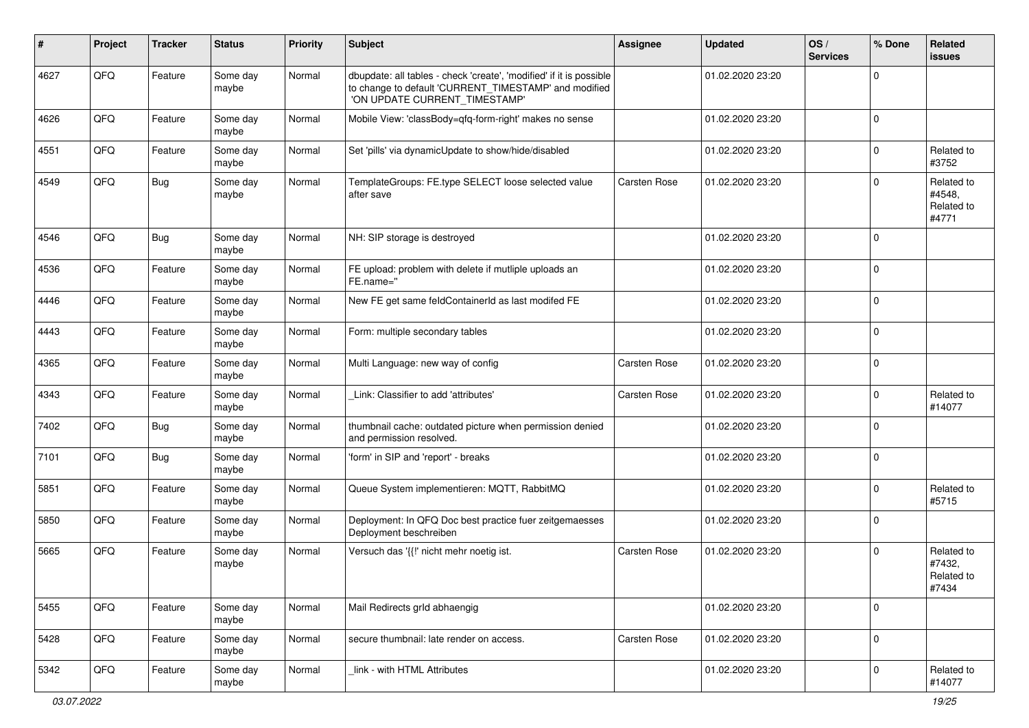| ∦    | Project | <b>Tracker</b> | <b>Status</b>     | <b>Priority</b> | <b>Subject</b>                                                                                                                                                | Assignee            | <b>Updated</b>   | OS/<br><b>Services</b> | % Done       | Related<br><b>issues</b>                    |
|------|---------|----------------|-------------------|-----------------|---------------------------------------------------------------------------------------------------------------------------------------------------------------|---------------------|------------------|------------------------|--------------|---------------------------------------------|
| 4627 | QFQ     | Feature        | Some day<br>maybe | Normal          | dbupdate: all tables - check 'create', 'modified' if it is possible<br>to change to default 'CURRENT_TIMESTAMP' and modified<br>'ON UPDATE CURRENT_TIMESTAMP' |                     | 01.02.2020 23:20 |                        | $\mathbf 0$  |                                             |
| 4626 | QFQ     | Feature        | Some day<br>maybe | Normal          | Mobile View: 'classBody=qfq-form-right' makes no sense                                                                                                        |                     | 01.02.2020 23:20 |                        | $\mathbf{0}$ |                                             |
| 4551 | QFQ     | Feature        | Some day<br>maybe | Normal          | Set 'pills' via dynamicUpdate to show/hide/disabled                                                                                                           |                     | 01.02.2020 23:20 |                        | $\mathbf 0$  | Related to<br>#3752                         |
| 4549 | QFQ     | <b>Bug</b>     | Some day<br>maybe | Normal          | TemplateGroups: FE.type SELECT loose selected value<br>after save                                                                                             | <b>Carsten Rose</b> | 01.02.2020 23:20 |                        | $\mathbf 0$  | Related to<br>#4548,<br>Related to<br>#4771 |
| 4546 | QFQ     | <b>Bug</b>     | Some day<br>maybe | Normal          | NH: SIP storage is destroyed                                                                                                                                  |                     | 01.02.2020 23:20 |                        | $\mathbf 0$  |                                             |
| 4536 | QFQ     | Feature        | Some day<br>maybe | Normal          | FE upload: problem with delete if mutliple uploads an<br>FE.name="                                                                                            |                     | 01.02.2020 23:20 |                        | $\mathbf 0$  |                                             |
| 4446 | QFQ     | Feature        | Some day<br>maybe | Normal          | New FE get same feldContainerId as last modifed FE                                                                                                            |                     | 01.02.2020 23:20 |                        | $\mathbf 0$  |                                             |
| 4443 | QFQ     | Feature        | Some day<br>maybe | Normal          | Form: multiple secondary tables                                                                                                                               |                     | 01.02.2020 23:20 |                        | $\mathbf 0$  |                                             |
| 4365 | QFQ     | Feature        | Some day<br>maybe | Normal          | Multi Language: new way of config                                                                                                                             | <b>Carsten Rose</b> | 01.02.2020 23:20 |                        | $\mathbf{0}$ |                                             |
| 4343 | QFQ     | Feature        | Some day<br>maybe | Normal          | Link: Classifier to add 'attributes'                                                                                                                          | Carsten Rose        | 01.02.2020 23:20 |                        | $\mathbf 0$  | Related to<br>#14077                        |
| 7402 | QFQ     | <b>Bug</b>     | Some day<br>maybe | Normal          | thumbnail cache: outdated picture when permission denied<br>and permission resolved.                                                                          |                     | 01.02.2020 23:20 |                        | $\mathbf 0$  |                                             |
| 7101 | QFQ     | <b>Bug</b>     | Some day<br>maybe | Normal          | 'form' in SIP and 'report' - breaks                                                                                                                           |                     | 01.02.2020 23:20 |                        | $\mathbf 0$  |                                             |
| 5851 | QFQ     | Feature        | Some day<br>maybe | Normal          | Queue System implementieren: MQTT, RabbitMQ                                                                                                                   |                     | 01.02.2020 23:20 |                        | $\mathbf 0$  | Related to<br>#5715                         |
| 5850 | QFQ     | Feature        | Some day<br>maybe | Normal          | Deployment: In QFQ Doc best practice fuer zeitgemaesses<br>Deployment beschreiben                                                                             |                     | 01.02.2020 23:20 |                        | $\Omega$     |                                             |
| 5665 | QFQ     | Feature        | Some day<br>maybe | Normal          | Versuch das '{{!' nicht mehr noetig ist.                                                                                                                      | <b>Carsten Rose</b> | 01.02.2020 23:20 |                        | $\mathbf 0$  | Related to<br>#7432,<br>Related to<br>#7434 |
| 5455 | QFO     | Feature        | Some day<br>maybe | Normal          | Mail Redirects grld abhaengig                                                                                                                                 |                     | 01.02.2020 23:20 |                        | 0            |                                             |
| 5428 | QFQ     | Feature        | Some day<br>maybe | Normal          | secure thumbnail: late render on access.                                                                                                                      | Carsten Rose        | 01.02.2020 23:20 |                        | $\mathbf 0$  |                                             |
| 5342 | QFO     | Feature        | Some day<br>maybe | Normal          | link - with HTML Attributes                                                                                                                                   |                     | 01.02.2020 23:20 |                        | $\mathbf 0$  | Related to<br>#14077                        |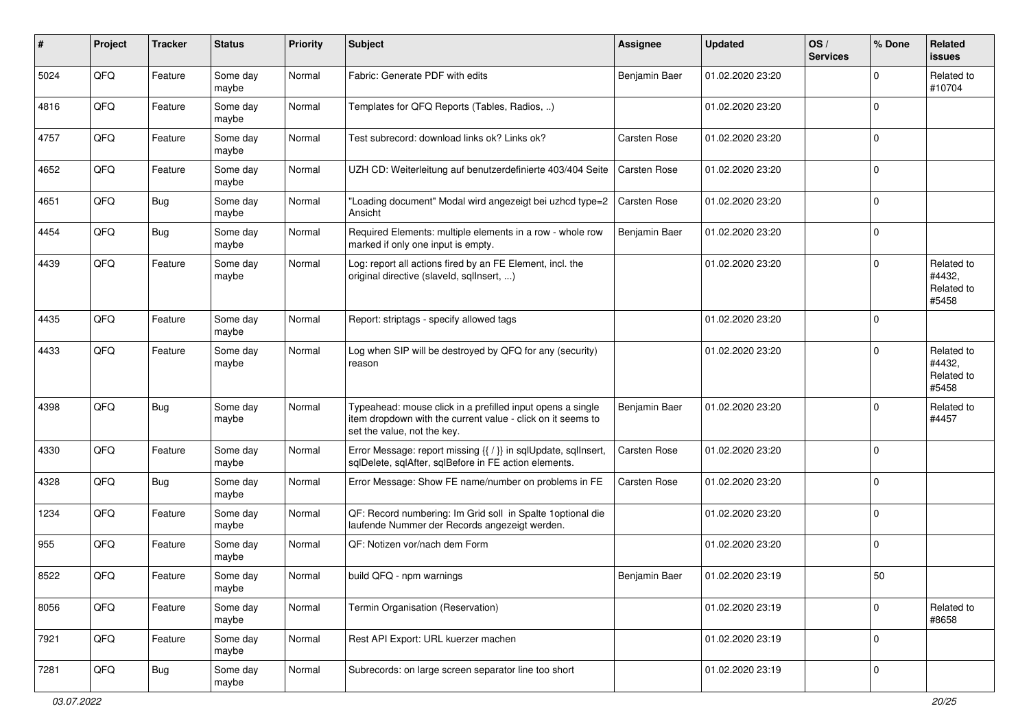| #    | Project | <b>Tracker</b> | <b>Status</b>     | <b>Priority</b> | <b>Subject</b>                                                                                                                                           | <b>Assignee</b>     | <b>Updated</b>   | OS/<br><b>Services</b> | % Done      | Related<br><b>issues</b>                    |
|------|---------|----------------|-------------------|-----------------|----------------------------------------------------------------------------------------------------------------------------------------------------------|---------------------|------------------|------------------------|-------------|---------------------------------------------|
| 5024 | QFQ     | Feature        | Some day<br>maybe | Normal          | Fabric: Generate PDF with edits                                                                                                                          | Benjamin Baer       | 01.02.2020 23:20 |                        | 0           | Related to<br>#10704                        |
| 4816 | QFQ     | Feature        | Some day<br>maybe | Normal          | Templates for QFQ Reports (Tables, Radios, )                                                                                                             |                     | 01.02.2020 23:20 |                        | 0           |                                             |
| 4757 | QFQ     | Feature        | Some day<br>maybe | Normal          | Test subrecord: download links ok? Links ok?                                                                                                             | <b>Carsten Rose</b> | 01.02.2020 23:20 |                        | $\Omega$    |                                             |
| 4652 | QFQ     | Feature        | Some day<br>maybe | Normal          | UZH CD: Weiterleitung auf benutzerdefinierte 403/404 Seite                                                                                               | <b>Carsten Rose</b> | 01.02.2020 23:20 |                        | 0           |                                             |
| 4651 | QFQ     | Bug            | Some day<br>maybe | Normal          | "Loading document" Modal wird angezeigt bei uzhcd type=2<br>Ansicht                                                                                      | <b>Carsten Rose</b> | 01.02.2020 23:20 |                        | $\mathbf 0$ |                                             |
| 4454 | QFQ     | <b>Bug</b>     | Some day<br>maybe | Normal          | Required Elements: multiple elements in a row - whole row<br>marked if only one input is empty.                                                          | Benjamin Baer       | 01.02.2020 23:20 |                        | $\mathbf 0$ |                                             |
| 4439 | QFQ     | Feature        | Some day<br>maybe | Normal          | Log: report all actions fired by an FE Element, incl. the<br>original directive (slaveld, sqllnsert, )                                                   |                     | 01.02.2020 23:20 |                        | $\mathbf 0$ | Related to<br>#4432,<br>Related to<br>#5458 |
| 4435 | QFQ     | Feature        | Some day<br>maybe | Normal          | Report: striptags - specify allowed tags                                                                                                                 |                     | 01.02.2020 23:20 |                        | $\mathbf 0$ |                                             |
| 4433 | QFQ     | Feature        | Some day<br>maybe | Normal          | Log when SIP will be destroyed by QFQ for any (security)<br>reason                                                                                       |                     | 01.02.2020 23:20 |                        | $\mathbf 0$ | Related to<br>#4432,<br>Related to<br>#5458 |
| 4398 | QFQ     | <b>Bug</b>     | Some day<br>maybe | Normal          | Typeahead: mouse click in a prefilled input opens a single<br>item dropdown with the current value - click on it seems to<br>set the value, not the key. | Benjamin Baer       | 01.02.2020 23:20 |                        | 0           | Related to<br>#4457                         |
| 4330 | QFQ     | Feature        | Some day<br>maybe | Normal          | Error Message: report missing {{ / }} in sqlUpdate, sqlInsert,<br>sqlDelete, sqlAfter, sqlBefore in FE action elements.                                  | Carsten Rose        | 01.02.2020 23:20 |                        | $\mathbf 0$ |                                             |
| 4328 | QFQ     | Bug            | Some day<br>maybe | Normal          | Error Message: Show FE name/number on problems in FE                                                                                                     | <b>Carsten Rose</b> | 01.02.2020 23:20 |                        | $\mathbf 0$ |                                             |
| 1234 | QFQ     | Feature        | Some day<br>maybe | Normal          | QF: Record numbering: Im Grid soll in Spalte 1 optional die<br>laufende Nummer der Records angezeigt werden.                                             |                     | 01.02.2020 23:20 |                        | $\mathbf 0$ |                                             |
| 955  | QFQ     | Feature        | Some day<br>maybe | Normal          | QF: Notizen vor/nach dem Form                                                                                                                            |                     | 01.02.2020 23:20 |                        | $\mathbf 0$ |                                             |
| 8522 | QFQ     | Feature        | Some day<br>maybe | Normal          | build QFQ - npm warnings                                                                                                                                 | Benjamin Baer       | 01.02.2020 23:19 |                        | 50          |                                             |
| 8056 | QFO     | Feature        | Some day<br>maybe | Normal          | Termin Organisation (Reservation)                                                                                                                        |                     | 01.02.2020 23:19 |                        | $\mathbf 0$ | Related to<br>#8658                         |
| 7921 | QFQ     | Feature        | Some day<br>maybe | Normal          | Rest API Export: URL kuerzer machen                                                                                                                      |                     | 01.02.2020 23:19 |                        | $\mathbf 0$ |                                             |
| 7281 | QFO     | Bug            | Some day<br>maybe | Normal          | Subrecords: on large screen separator line too short                                                                                                     |                     | 01.02.2020 23:19 |                        | $\mathbf 0$ |                                             |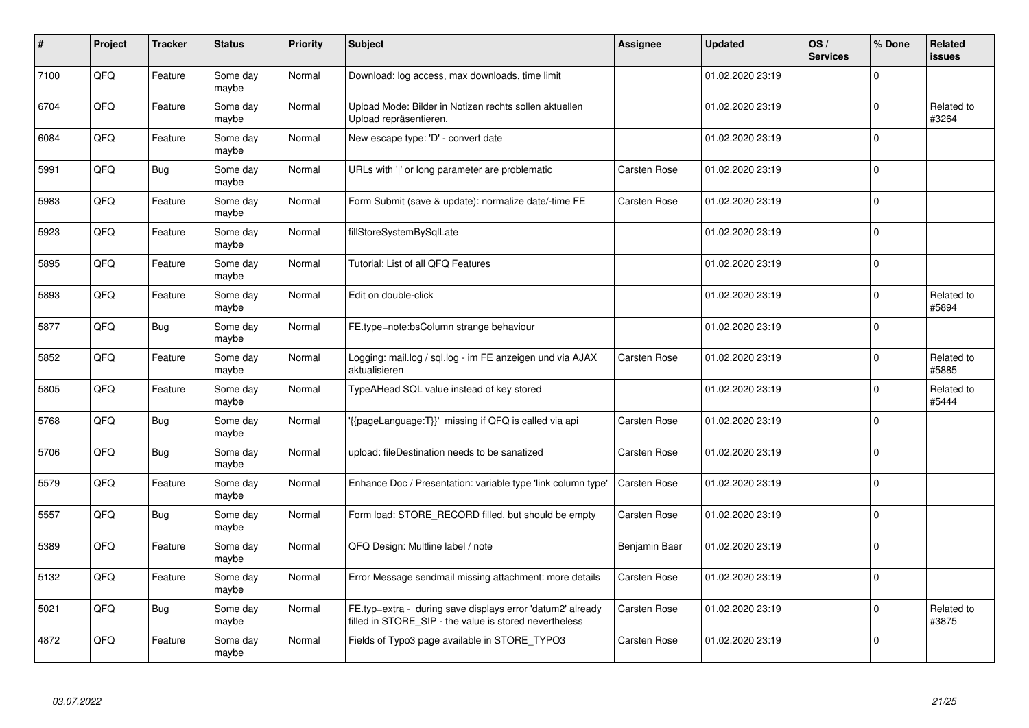| #    | Project | <b>Tracker</b> | <b>Status</b>     | <b>Priority</b> | <b>Subject</b>                                                                                                       | Assignee            | <b>Updated</b>   | OS/<br><b>Services</b> | % Done       | <b>Related</b><br><b>issues</b> |
|------|---------|----------------|-------------------|-----------------|----------------------------------------------------------------------------------------------------------------------|---------------------|------------------|------------------------|--------------|---------------------------------|
| 7100 | QFQ     | Feature        | Some day<br>maybe | Normal          | Download: log access, max downloads, time limit                                                                      |                     | 01.02.2020 23:19 |                        | $\Omega$     |                                 |
| 6704 | QFQ     | Feature        | Some day<br>maybe | Normal          | Upload Mode: Bilder in Notizen rechts sollen aktuellen<br>Upload repräsentieren.                                     |                     | 01.02.2020 23:19 |                        | $\Omega$     | Related to<br>#3264             |
| 6084 | QFQ     | Feature        | Some day<br>maybe | Normal          | New escape type: 'D' - convert date                                                                                  |                     | 01.02.2020 23:19 |                        | $\Omega$     |                                 |
| 5991 | QFQ     | <b>Bug</b>     | Some day<br>maybe | Normal          | URLs with ' ' or long parameter are problematic                                                                      | <b>Carsten Rose</b> | 01.02.2020 23:19 |                        | $\Omega$     |                                 |
| 5983 | QFQ     | Feature        | Some day<br>maybe | Normal          | Form Submit (save & update): normalize date/-time FE                                                                 | <b>Carsten Rose</b> | 01.02.2020 23:19 |                        | $\mathbf{0}$ |                                 |
| 5923 | QFQ     | Feature        | Some day<br>maybe | Normal          | fillStoreSystemBySqlLate                                                                                             |                     | 01.02.2020 23:19 |                        | $\Omega$     |                                 |
| 5895 | QFQ     | Feature        | Some day<br>maybe | Normal          | Tutorial: List of all QFQ Features                                                                                   |                     | 01.02.2020 23:19 |                        | $\mathbf 0$  |                                 |
| 5893 | QFQ     | Feature        | Some day<br>maybe | Normal          | Edit on double-click                                                                                                 |                     | 01.02.2020 23:19 |                        | $\Omega$     | Related to<br>#5894             |
| 5877 | QFQ     | <b>Bug</b>     | Some day<br>maybe | Normal          | FE.type=note:bsColumn strange behaviour                                                                              |                     | 01.02.2020 23:19 |                        | $\Omega$     |                                 |
| 5852 | QFQ     | Feature        | Some day<br>maybe | Normal          | Logging: mail.log / sql.log - im FE anzeigen und via AJAX<br>aktualisieren                                           | Carsten Rose        | 01.02.2020 23:19 |                        | $\mathbf 0$  | Related to<br>#5885             |
| 5805 | QFQ     | Feature        | Some day<br>maybe | Normal          | TypeAHead SQL value instead of key stored                                                                            |                     | 01.02.2020 23:19 |                        | $\mathbf 0$  | Related to<br>#5444             |
| 5768 | QFQ     | <b>Bug</b>     | Some day<br>maybe | Normal          | '{{pageLanguage:T}}' missing if QFQ is called via api                                                                | <b>Carsten Rose</b> | 01.02.2020 23:19 |                        | $\mathbf{0}$ |                                 |
| 5706 | QFQ     | <b>Bug</b>     | Some day<br>maybe | Normal          | upload: fileDestination needs to be sanatized                                                                        | <b>Carsten Rose</b> | 01.02.2020 23:19 |                        | $\mathbf 0$  |                                 |
| 5579 | QFQ     | Feature        | Some day<br>maybe | Normal          | Enhance Doc / Presentation: variable type 'link column type'                                                         | <b>Carsten Rose</b> | 01.02.2020 23:19 |                        | $\mathbf 0$  |                                 |
| 5557 | QFQ     | <b>Bug</b>     | Some day<br>maybe | Normal          | Form load: STORE_RECORD filled, but should be empty                                                                  | Carsten Rose        | 01.02.2020 23:19 |                        | $\Omega$     |                                 |
| 5389 | QFQ     | Feature        | Some day<br>maybe | Normal          | QFQ Design: Multline label / note                                                                                    | Benjamin Baer       | 01.02.2020 23:19 |                        | $\Omega$     |                                 |
| 5132 | QFQ     | Feature        | Some day<br>maybe | Normal          | Error Message sendmail missing attachment: more details                                                              | Carsten Rose        | 01.02.2020 23:19 |                        | $\mathbf 0$  |                                 |
| 5021 | QFQ     | <b>Bug</b>     | Some day<br>maybe | Normal          | FE.typ=extra - during save displays error 'datum2' already<br>filled in STORE_SIP - the value is stored nevertheless | <b>Carsten Rose</b> | 01.02.2020 23:19 |                        | 0            | Related to<br>#3875             |
| 4872 | QFQ     | Feature        | Some day<br>maybe | Normal          | Fields of Typo3 page available in STORE_TYPO3                                                                        | <b>Carsten Rose</b> | 01.02.2020 23:19 |                        | $\Omega$     |                                 |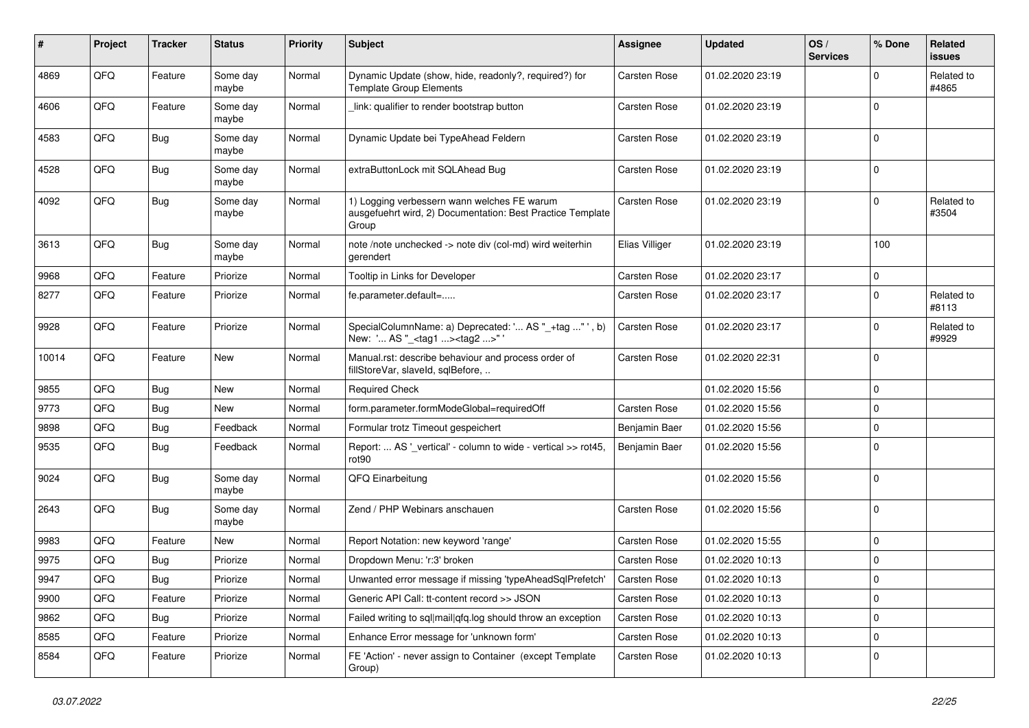| $\pmb{\#}$ | Project | <b>Tracker</b> | <b>Status</b>     | <b>Priority</b> | <b>Subject</b>                                                                                                     | <b>Assignee</b>     | <b>Updated</b>   | OS/<br><b>Services</b> | % Done      | Related<br><b>issues</b> |
|------------|---------|----------------|-------------------|-----------------|--------------------------------------------------------------------------------------------------------------------|---------------------|------------------|------------------------|-------------|--------------------------|
| 4869       | QFQ     | Feature        | Some day<br>maybe | Normal          | Dynamic Update (show, hide, readonly?, required?) for<br><b>Template Group Elements</b>                            | <b>Carsten Rose</b> | 01.02.2020 23:19 |                        | $\Omega$    | Related to<br>#4865      |
| 4606       | QFQ     | Feature        | Some day<br>maybe | Normal          | link: qualifier to render bootstrap button                                                                         | <b>Carsten Rose</b> | 01.02.2020 23:19 |                        | $\mathbf 0$ |                          |
| 4583       | QFQ     | Bug            | Some day<br>maybe | Normal          | Dynamic Update bei TypeAhead Feldern                                                                               | <b>Carsten Rose</b> | 01.02.2020 23:19 |                        | 0           |                          |
| 4528       | QFQ     | Bug            | Some day<br>maybe | Normal          | extraButtonLock mit SQLAhead Bug                                                                                   | <b>Carsten Rose</b> | 01.02.2020 23:19 |                        | 0           |                          |
| 4092       | QFQ     | Bug            | Some day<br>maybe | Normal          | 1) Logging verbessern wann welches FE warum<br>ausgefuehrt wird, 2) Documentation: Best Practice Template<br>Group | Carsten Rose        | 01.02.2020 23:19 |                        | $\mathbf 0$ | Related to<br>#3504      |
| 3613       | QFQ     | Bug            | Some day<br>maybe | Normal          | note /note unchecked -> note div (col-md) wird weiterhin<br>gerendert                                              | Elias Villiger      | 01.02.2020 23:19 |                        | 100         |                          |
| 9968       | QFQ     | Feature        | Priorize          | Normal          | Tooltip in Links for Developer                                                                                     | Carsten Rose        | 01.02.2020 23:17 |                        | $\mathbf 0$ |                          |
| 8277       | QFQ     | Feature        | Priorize          | Normal          | fe.parameter.default=                                                                                              | <b>Carsten Rose</b> | 01.02.2020 23:17 |                        | $\Omega$    | Related to<br>#8113      |
| 9928       | QFQ     | Feature        | Priorize          | Normal          | SpecialColumnName: a) Deprecated: ' AS "_+tag " ', b)<br>New: ' AS "_ <tag1><tag2>" '</tag2></tag1>                | <b>Carsten Rose</b> | 01.02.2020 23:17 |                        | $\Omega$    | Related to<br>#9929      |
| 10014      | QFQ     | Feature        | <b>New</b>        | Normal          | Manual.rst: describe behaviour and process order of<br>fillStoreVar, slaveId, sqlBefore,                           | Carsten Rose        | 01.02.2020 22:31 |                        | $\Omega$    |                          |
| 9855       | QFQ     | Bug            | <b>New</b>        | Normal          | <b>Required Check</b>                                                                                              |                     | 01.02.2020 15:56 |                        | 0           |                          |
| 9773       | QFQ     | <b>Bug</b>     | <b>New</b>        | Normal          | form.parameter.formModeGlobal=requiredOff                                                                          | <b>Carsten Rose</b> | 01.02.2020 15:56 |                        | $\mathbf 0$ |                          |
| 9898       | QFQ     | Bug            | Feedback          | Normal          | Formular trotz Timeout gespeichert                                                                                 | Benjamin Baer       | 01.02.2020 15:56 |                        | $\mathbf 0$ |                          |
| 9535       | QFQ     | Bug            | Feedback          | Normal          | Report:  AS '_vertical' - column to wide - vertical >> rot45,<br>rot90                                             | Benjamin Baer       | 01.02.2020 15:56 |                        | $\Omega$    |                          |
| 9024       | QFQ     | Bug            | Some day<br>maybe | Normal          | QFQ Einarbeitung                                                                                                   |                     | 01.02.2020 15:56 |                        | 0           |                          |
| 2643       | QFQ     | Bug            | Some day<br>maybe | Normal          | Zend / PHP Webinars anschauen                                                                                      | <b>Carsten Rose</b> | 01.02.2020 15:56 |                        | $\Omega$    |                          |
| 9983       | QFQ     | Feature        | New               | Normal          | Report Notation: new keyword 'range'                                                                               | <b>Carsten Rose</b> | 01.02.2020 15:55 |                        | $\Omega$    |                          |
| 9975       | QFQ     | Bug            | Priorize          | Normal          | Dropdown Menu: 'r:3' broken                                                                                        | <b>Carsten Rose</b> | 01.02.2020 10:13 |                        | 0           |                          |
| 9947       | QFQ     | Bug            | Priorize          | Normal          | Unwanted error message if missing 'typeAheadSqlPrefetch'                                                           | Carsten Rose        | 01.02.2020 10:13 |                        | $\Omega$    |                          |
| 9900       | QFQ     | Feature        | Priorize          | Normal          | Generic API Call: tt-content record >> JSON                                                                        | Carsten Rose        | 01.02.2020 10:13 |                        | 0           |                          |
| 9862       | QFQ     | <b>Bug</b>     | Priorize          | Normal          | Failed writing to sql mail qfq.log should throw an exception                                                       | Carsten Rose        | 01.02.2020 10:13 |                        | $\mathbf 0$ |                          |
| 8585       | QFQ     | Feature        | Priorize          | Normal          | Enhance Error message for 'unknown form'                                                                           | Carsten Rose        | 01.02.2020 10:13 |                        | $\mathbf 0$ |                          |
| 8584       | QFQ     | Feature        | Priorize          | Normal          | FE 'Action' - never assign to Container (except Template<br>Group)                                                 | Carsten Rose        | 01.02.2020 10:13 |                        | 0           |                          |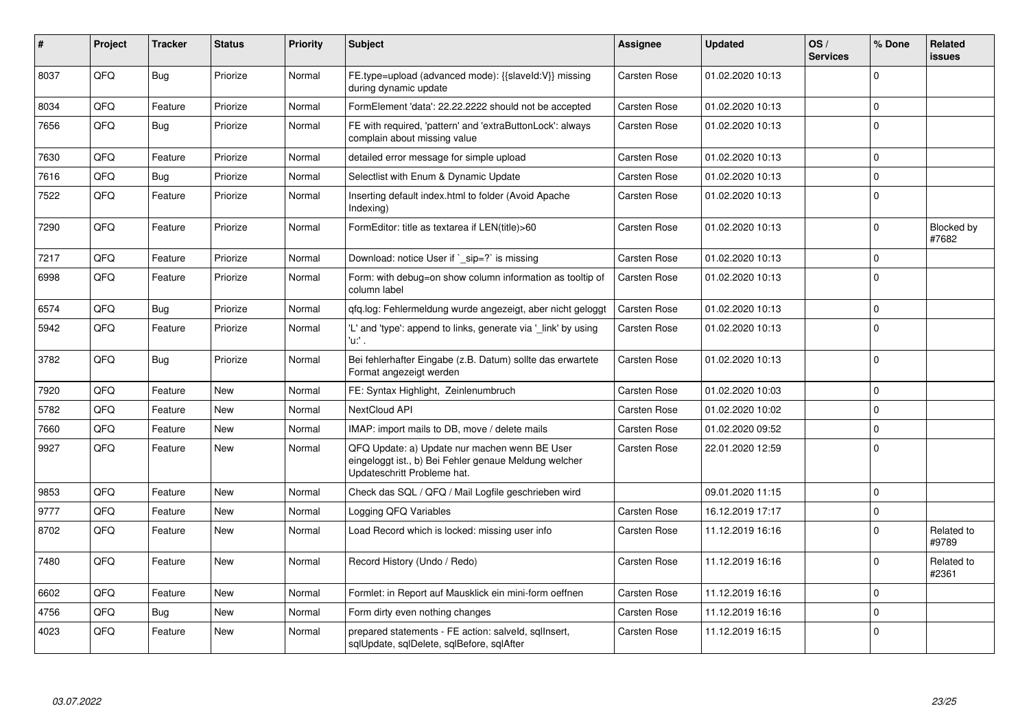| ∦    | Project | <b>Tracker</b> | <b>Status</b> | <b>Priority</b> | <b>Subject</b>                                                                                                                        | <b>Assignee</b>     | <b>Updated</b>   | OS/<br><b>Services</b> | % Done      | <b>Related</b><br>issues |
|------|---------|----------------|---------------|-----------------|---------------------------------------------------------------------------------------------------------------------------------------|---------------------|------------------|------------------------|-------------|--------------------------|
| 8037 | QFQ     | <b>Bug</b>     | Priorize      | Normal          | FE.type=upload (advanced mode): {{slaveld:V}} missing<br>during dynamic update                                                        | Carsten Rose        | 01.02.2020 10:13 |                        | $\Omega$    |                          |
| 8034 | QFQ     | Feature        | Priorize      | Normal          | FormElement 'data': 22.22.2222 should not be accepted                                                                                 | <b>Carsten Rose</b> | 01.02.2020 10:13 |                        | $\Omega$    |                          |
| 7656 | QFQ     | Bug            | Priorize      | Normal          | FE with required, 'pattern' and 'extraButtonLock': always<br>complain about missing value                                             | Carsten Rose        | 01.02.2020 10:13 |                        | $\Omega$    |                          |
| 7630 | QFQ     | Feature        | Priorize      | Normal          | detailed error message for simple upload                                                                                              | <b>Carsten Rose</b> | 01.02.2020 10:13 |                        | $\Omega$    |                          |
| 7616 | QFQ     | Bug            | Priorize      | Normal          | Selectlist with Enum & Dynamic Update                                                                                                 | Carsten Rose        | 01.02.2020 10:13 |                        | $\Omega$    |                          |
| 7522 | QFQ     | Feature        | Priorize      | Normal          | Inserting default index.html to folder (Avoid Apache<br>Indexing)                                                                     | <b>Carsten Rose</b> | 01.02.2020 10:13 |                        | $\mathbf 0$ |                          |
| 7290 | QFQ     | Feature        | Priorize      | Normal          | FormEditor: title as textarea if LEN(title)>60                                                                                        | Carsten Rose        | 01.02.2020 10:13 |                        | $\mathbf 0$ | Blocked by<br>#7682      |
| 7217 | QFQ     | Feature        | Priorize      | Normal          | Download: notice User if ` sip=?` is missing                                                                                          | Carsten Rose        | 01.02.2020 10:13 |                        | $\Omega$    |                          |
| 6998 | QFQ     | Feature        | Priorize      | Normal          | Form: with debug=on show column information as tooltip of<br>column label                                                             | <b>Carsten Rose</b> | 01.02.2020 10:13 |                        | $\Omega$    |                          |
| 6574 | QFQ     | Bug            | Priorize      | Normal          | gfg.log: Fehlermeldung wurde angezeigt, aber nicht geloggt                                                                            | Carsten Rose        | 01.02.2020 10:13 |                        | $\Omega$    |                          |
| 5942 | QFQ     | Feature        | Priorize      | Normal          | 'L' and 'type': append to links, generate via '_link' by using<br>'u:' .                                                              | <b>Carsten Rose</b> | 01.02.2020 10:13 |                        | $\mathbf 0$ |                          |
| 3782 | QFQ     | Bug            | Priorize      | Normal          | Bei fehlerhafter Eingabe (z.B. Datum) sollte das erwartete<br>Format angezeigt werden                                                 | Carsten Rose        | 01.02.2020 10:13 |                        | $\Omega$    |                          |
| 7920 | QFQ     | Feature        | <b>New</b>    | Normal          | FE: Syntax Highlight, Zeinlenumbruch                                                                                                  | <b>Carsten Rose</b> | 01.02.2020 10:03 |                        | $\mathbf 0$ |                          |
| 5782 | QFQ     | Feature        | <b>New</b>    | Normal          | NextCloud API                                                                                                                         | <b>Carsten Rose</b> | 01.02.2020 10:02 |                        | $\mathbf 0$ |                          |
| 7660 | QFQ     | Feature        | <b>New</b>    | Normal          | IMAP: import mails to DB, move / delete mails                                                                                         | <b>Carsten Rose</b> | 01.02.2020 09:52 |                        | $\mathbf 0$ |                          |
| 9927 | QFQ     | Feature        | <b>New</b>    | Normal          | QFQ Update: a) Update nur machen wenn BE User<br>eingeloggt ist., b) Bei Fehler genaue Meldung welcher<br>Updateschritt Probleme hat. | Carsten Rose        | 22.01.2020 12:59 |                        | $\Omega$    |                          |
| 9853 | QFQ     | Feature        | <b>New</b>    | Normal          | Check das SQL / QFQ / Mail Logfile geschrieben wird                                                                                   |                     | 09.01.2020 11:15 |                        | $\Omega$    |                          |
| 9777 | QFQ     | Feature        | New           | Normal          | Logging QFQ Variables                                                                                                                 | Carsten Rose        | 16.12.2019 17:17 |                        | $\Omega$    |                          |
| 8702 | QFQ     | Feature        | <b>New</b>    | Normal          | Load Record which is locked: missing user info                                                                                        | Carsten Rose        | 11.12.2019 16:16 |                        | $\Omega$    | Related to<br>#9789      |
| 7480 | QFQ     | Feature        | <b>New</b>    | Normal          | Record History (Undo / Redo)                                                                                                          | Carsten Rose        | 11.12.2019 16:16 |                        | $\Omega$    | Related to<br>#2361      |
| 6602 | QFQ     | Feature        | <b>New</b>    | Normal          | Formlet: in Report auf Mausklick ein mini-form oeffnen                                                                                | Carsten Rose        | 11.12.2019 16:16 |                        | $\Omega$    |                          |
| 4756 | QFQ     | Bug            | <b>New</b>    | Normal          | Form dirty even nothing changes                                                                                                       | <b>Carsten Rose</b> | 11.12.2019 16:16 |                        | $\Omega$    |                          |
| 4023 | QFQ     | Feature        | <b>New</b>    | Normal          | prepared statements - FE action: salveld, sgllnsert,<br>sqlUpdate, sqlDelete, sqlBefore, sqlAfter                                     | <b>Carsten Rose</b> | 11.12.2019 16:15 |                        | $\Omega$    |                          |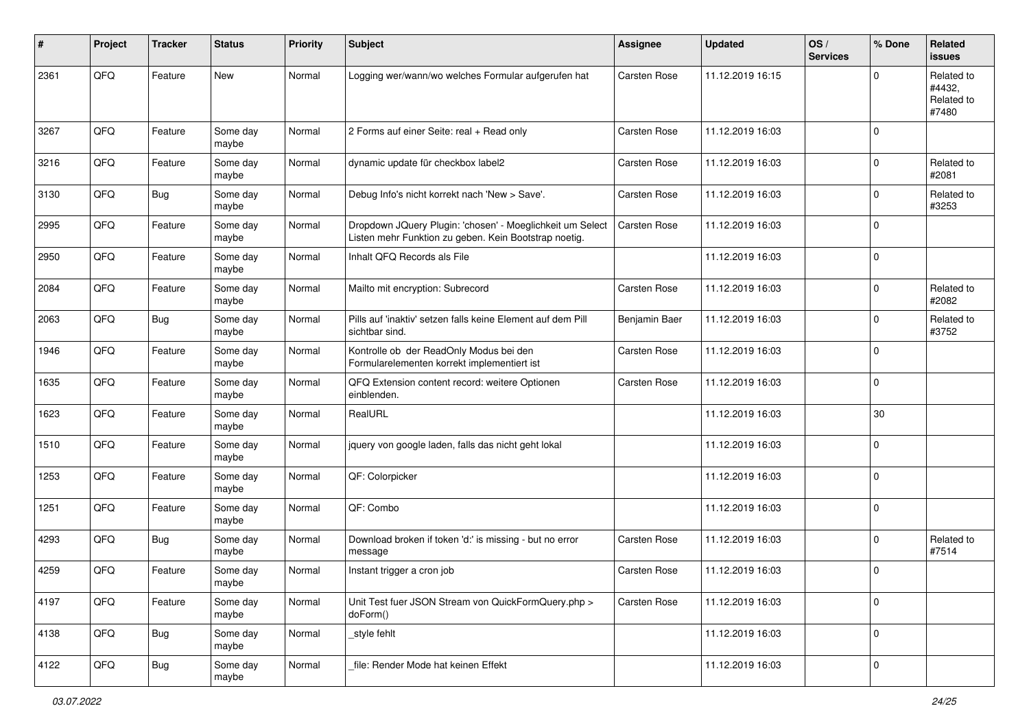| #    | Project | <b>Tracker</b> | <b>Status</b>     | <b>Priority</b> | <b>Subject</b>                                                                                                     | Assignee            | <b>Updated</b>   | OS/<br><b>Services</b> | % Done              | Related<br><b>issues</b>                    |
|------|---------|----------------|-------------------|-----------------|--------------------------------------------------------------------------------------------------------------------|---------------------|------------------|------------------------|---------------------|---------------------------------------------|
| 2361 | QFQ     | Feature        | New               | Normal          | Logging wer/wann/wo welches Formular aufgerufen hat                                                                | Carsten Rose        | 11.12.2019 16:15 |                        | 0                   | Related to<br>#4432,<br>Related to<br>#7480 |
| 3267 | QFQ     | Feature        | Some day<br>maybe | Normal          | 2 Forms auf einer Seite: real + Read only                                                                          | Carsten Rose        | 11.12.2019 16:03 |                        | $\Omega$            |                                             |
| 3216 | QFQ     | Feature        | Some day<br>maybe | Normal          | dynamic update für checkbox label2                                                                                 | <b>Carsten Rose</b> | 11.12.2019 16:03 |                        | $\mathbf 0$         | Related to<br>#2081                         |
| 3130 | QFQ     | <b>Bug</b>     | Some day<br>maybe | Normal          | Debug Info's nicht korrekt nach 'New > Save'.                                                                      | <b>Carsten Rose</b> | 11.12.2019 16:03 |                        | 0                   | Related to<br>#3253                         |
| 2995 | QFQ     | Feature        | Some day<br>maybe | Normal          | Dropdown JQuery Plugin: 'chosen' - Moeglichkeit um Select<br>Listen mehr Funktion zu geben. Kein Bootstrap noetig. | <b>Carsten Rose</b> | 11.12.2019 16:03 |                        | $\Omega$            |                                             |
| 2950 | QFQ     | Feature        | Some day<br>maybe | Normal          | Inhalt QFQ Records als File                                                                                        |                     | 11.12.2019 16:03 |                        | $\Omega$            |                                             |
| 2084 | QFQ     | Feature        | Some day<br>maybe | Normal          | Mailto mit encryption: Subrecord                                                                                   | Carsten Rose        | 11.12.2019 16:03 |                        | 0                   | Related to<br>#2082                         |
| 2063 | QFQ     | Bug            | Some day<br>maybe | Normal          | Pills auf 'inaktiv' setzen falls keine Element auf dem Pill<br>sichtbar sind.                                      | Benjamin Baer       | 11.12.2019 16:03 |                        | $\Omega$            | Related to<br>#3752                         |
| 1946 | QFQ     | Feature        | Some day<br>maybe | Normal          | Kontrolle ob der ReadOnly Modus bei den<br>Formularelementen korrekt implementiert ist                             | Carsten Rose        | 11.12.2019 16:03 |                        | 0                   |                                             |
| 1635 | QFQ     | Feature        | Some day<br>maybe | Normal          | QFQ Extension content record: weitere Optionen<br>einblenden.                                                      | <b>Carsten Rose</b> | 11.12.2019 16:03 |                        | $\mathbf 0$         |                                             |
| 1623 | QFQ     | Feature        | Some day<br>maybe | Normal          | RealURL                                                                                                            |                     | 11.12.2019 16:03 |                        | 30                  |                                             |
| 1510 | QFQ     | Feature        | Some day<br>maybe | Normal          | jquery von google laden, falls das nicht geht lokal                                                                |                     | 11.12.2019 16:03 |                        | $\mathbf 0$         |                                             |
| 1253 | QFQ     | Feature        | Some day<br>maybe | Normal          | QF: Colorpicker                                                                                                    |                     | 11.12.2019 16:03 |                        | $\Omega$            |                                             |
| 1251 | QFQ     | Feature        | Some day<br>maybe | Normal          | QF: Combo                                                                                                          |                     | 11.12.2019 16:03 |                        | $\Omega$            |                                             |
| 4293 | QFQ     | Bug            | Some day<br>maybe | Normal          | Download broken if token 'd:' is missing - but no error<br>message                                                 | Carsten Rose        | 11.12.2019 16:03 |                        | $\Omega$            | Related to<br>#7514                         |
| 4259 | QFQ     | Feature        | Some day<br>maybe | Normal          | Instant trigger a cron job                                                                                         | Carsten Rose        | 11.12.2019 16:03 |                        | $\mathbf 0$         |                                             |
| 4197 | QFQ     | Feature        | Some day<br>maybe | Normal          | Unit Test fuer JSON Stream von QuickFormQuery.php ><br>doForm()                                                    | <b>Carsten Rose</b> | 11.12.2019 16:03 |                        | $\mathbf 0$         |                                             |
| 4138 | QFO     | Bug            | Some day<br>maybe | Normal          | _style fehlt                                                                                                       |                     | 11.12.2019 16:03 |                        | $\mathbf 0$         |                                             |
| 4122 | QFO     | <b>Bug</b>     | Some day<br>maybe | Normal          | file: Render Mode hat keinen Effekt                                                                                |                     | 11.12.2019 16:03 |                        | $\mathsf{O}\xspace$ |                                             |